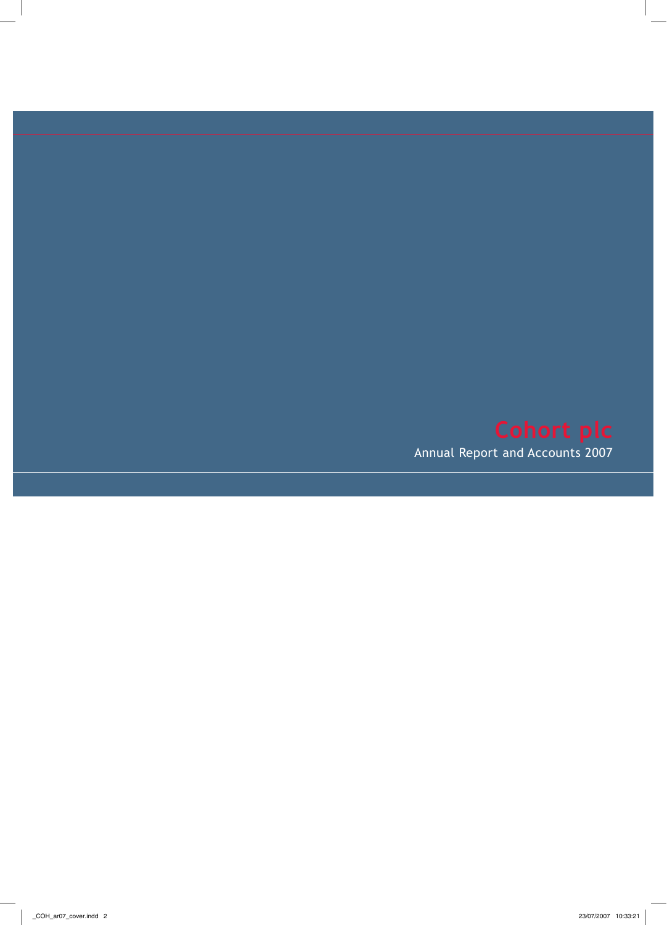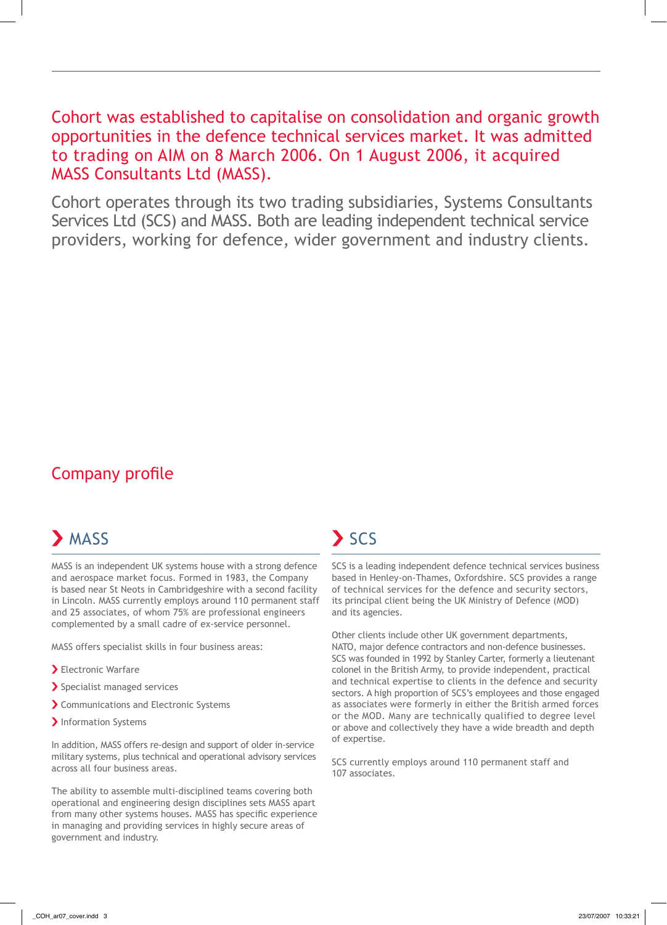Cohort was established to capitalise on consolidation and organic growth opportunities in the defence technical services market. It was admitted to trading on AIM on 8 March 2006. On 1 August 2006, it acquired MASS Consultants Ltd (MASS).

Cohort operates through its two trading subsidiaries, Systems Consultants Services Ltd (SCS) and MASS. Both are leading independent technical service providers, working for defence, wider government and industry clients.

### Company profile

## > MASS

MASS is an independent UK systems house with a strong defence and aerospace market focus. Formed in 1983, the Company is based near St Neots in Cambridgeshire with a second facility in Lincoln. MASS currently employs around 110 permanent staff and 25 associates, of whom 75% are professional engineers complemented by a small cadre of ex-service personnel.

MASS offers specialist skills in four business areas:

- Electronic Warfare
- > Specialist managed services
- Communications and Electronic Systems
- Information Systems

In addition, MASS offers re-design and support of older in-service military systems, plus technical and operational advisory services across all four business areas.

The ability to assemble multi-disciplined teams covering both operational and engineering design disciplines sets MASS apart from many other systems houses. MASS has specific experience in managing and providing services in highly secure areas of government and industry.

## > SCS

SCS is a leading independent defence technical services business based in Henley-on-Thames, Oxfordshire. SCS provides a range of technical services for the defence and security sectors, its principal client being the UK Ministry of Defence (MOD) and its agencies.

Other clients include other UK government departments, NATO, major defence contractors and non-defence businesses. SCS was founded in 1992 by Stanley Carter, formerly a lieutenant colonel in the British Army, to provide independent, practical and technical expertise to clients in the defence and security sectors. A high proportion of SCS's employees and those engaged as associates were formerly in either the British armed forces or the MOD. Many are technically qualified to degree level or above and collectively they have a wide breadth and depth of expertise.

SCS currently employs around 110 permanent staff and 107 associates.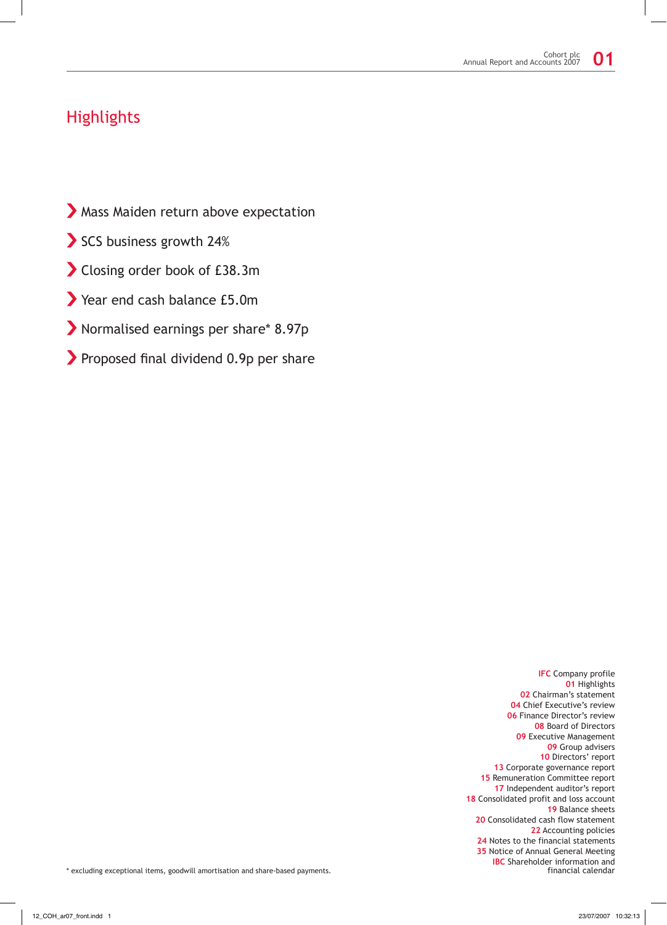## Highlights

- Mass Maiden return above expectation
- SCS business growth 24%
- Closing order book of £38.3m
- Year end cash balance £5.0m
- Normalised earnings per share\* 8.97p
- Proposed final dividend 0.9p per share

**IFC** Company profile Highlights Chairman's statement Chief Executive's review Finance Director's review Board of Directors Executive Management Group advisers Directors' report Corporate governance report Remuneration Committee report Independent auditor's report Consolidated profit and loss account Balance sheets Consolidated cash flow statement Accounting policies Notes to the financial statements Notice of Annual General Meeting **IBC** Shareholder information and

\* excluding exceptional items, goodwill amortisation and share-based payments.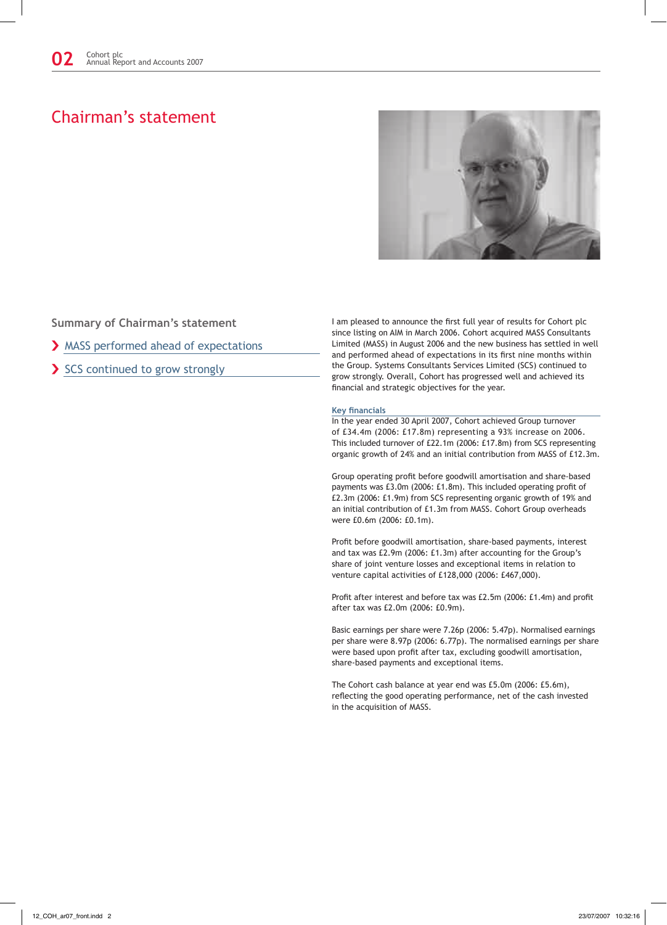## Chairman's statement



**Summary of Chairman's statement**

- MASS performed ahead of expectations
- SCS continued to grow strongly

I am pleased to announce the first full year of results for Cohort plc since listing on AIM in March 2006. Cohort acquired MASS Consultants Limited (MASS) in August 2006 and the new business has settled in well and performed ahead of expectations in its first nine months within the Group. Systems Consultants Services Limited (SCS) continued to grow strongly. Overall, Cohort has progressed well and achieved its financial and strategic objectives for the year.

### **Key financials**

In the year ended 30 April 2007, Cohort achieved Group turnover of £34.4m (2006: £17.8m) representing a 93% increase on 2006. This included turnover of £22.1m (2006: £17.8m) from SCS representing organic growth of 24% and an initial contribution from MASS of £12.3m.

Group operating profit before goodwill amortisation and share-based payments was £3.0m (2006: £1.8m). This included operating profit of £2.3m (2006: £1.9m) from SCS representing organic growth of 19% and an initial contribution of £1.3m from MASS. Cohort Group overheads were £0.6m (2006: £0.1m).

Profit before goodwill amortisation, share-based payments, interest and tax was £2.9m (2006: £1.3m) after accounting for the Group's share of joint venture losses and exceptional items in relation to venture capital activities of £128,000 (2006: £467,000).

Profit after interest and before tax was £2.5m (2006: £1.4m) and profit after tax was £2.0m (2006: £0.9m).

Basic earnings per share were 7.26p (2006: 5.47p). Normalised earnings per share were 8.97p (2006: 6.77p). The normalised earnings per share were based upon profit after tax, excluding goodwill amortisation, share-based payments and exceptional items.

The Cohort cash balance at year end was £5.0m (2006: £5.6m), reflecting the good operating performance, net of the cash invested in the acquisition of MASS.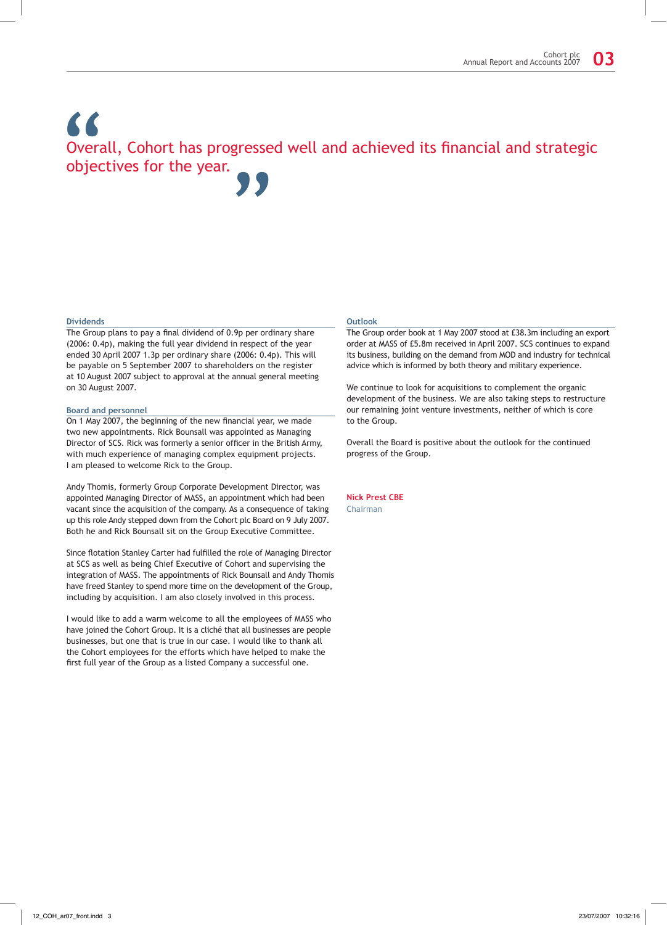Overall, Cohort has progressed well and achieved its financial and strategic objectives for the year.  $\epsilon$ 

### **Dividends**

The Group plans to pay a final dividend of 0.9p per ordinary share (2006: 0.4p), making the full year dividend in respect of the year ended 30 April 2007 1.3p per ordinary share (2006: 0.4p). This will be payable on 5 September 2007 to shareholders on the register at 10 August 2007 subject to approval at the annual general meeting on 30 August 2007.

### **Board and personnel**

On 1 May 2007, the beginning of the new financial year, we made two new appointments. Rick Bounsall was appointed as Managing Director of SCS. Rick was formerly a senior officer in the British Army, with much experience of managing complex equipment projects. I am pleased to welcome Rick to the Group.

Andy Thomis, formerly Group Corporate Development Director, was appointed Managing Director of MASS, an appointment which had been vacant since the acquisition of the company. As a consequence of taking up this role Andy stepped down from the Cohort plc Board on 9 July 2007. Both he and Rick Bounsall sit on the Group Executive Committee.

Since flotation Stanley Carter had fulfilled the role of Managing Director at SCS as well as being Chief Executive of Cohort and supervising the integration of MASS. The appointments of Rick Bounsall and Andy Thomis have freed Stanley to spend more time on the development of the Group, including by acquisition. I am also closely involved in this process.

I would like to add a warm welcome to all the employees of MASS who have joined the Cohort Group. It is a cliché that all businesses are people businesses, but one that is true in our case. I would like to thank all the Cohort employees for the efforts which have helped to make the first full year of the Group as a listed Company a successful one.

### **Outlook**

The Group order book at 1 May 2007 stood at £38.3m including an export order at MASS of £5.8m received in April 2007. SCS continues to expand its business, building on the demand from MOD and industry for technical advice which is informed by both theory and military experience.

We continue to look for acquisitions to complement the organic development of the business. We are also taking steps to restructure our remaining joint venture investments, neither of which is core to the Group.

Overall the Board is positive about the outlook for the continued progress of the Group.

**Nick Prest CBE** Chairman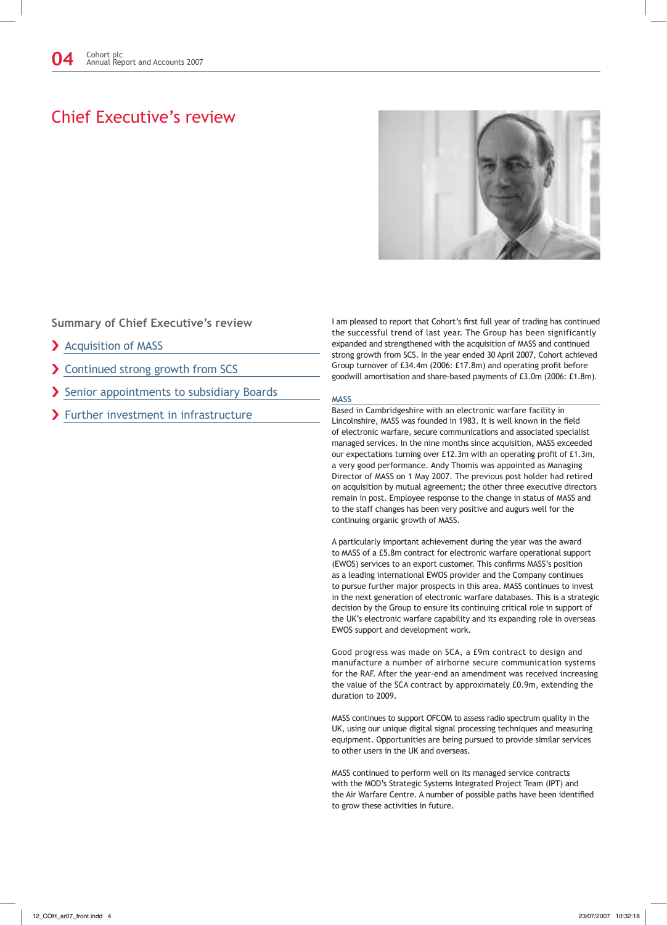### Chief Executive's review



**Summary of Chief Executive's review**

- > Acquisition of MASS
- > Continued strong growth from SCS
- Senior appointments to subsidiary Boards
- > Further investment in infrastructure

I am pleased to report that Cohort's first full year of trading has continued the successful trend of last year. The Group has been significantly expanded and strengthened with the acquisition of MASS and continued strong growth from SCS. In the year ended 30 April 2007, Cohort achieved Group turnover of £34.4m (2006: £17.8m) and operating profit before goodwill amortisation and share-based payments of £3.0m (2006: £1.8m).

### **MASS**

Based in Cambridgeshire with an electronic warfare facility in Lincolnshire, MASS was founded in 1983. It is well known in the field of electronic warfare, secure communications and associated specialist managed services. In the nine months since acquisition, MASS exceeded our expectations turning over £12.3m with an operating profit of £1.3m, a very good performance. Andy Thomis was appointed as Managing Director of MASS on 1 May 2007. The previous post holder had retired on acquisition by mutual agreement; the other three executive directors remain in post. Employee response to the change in status of MASS and to the staff changes has been very positive and augurs well for the continuing organic growth of MASS.

A particularly important achievement during the year was the award to MASS of a £5.8m contract for electronic warfare operational support (EWOS) services to an export customer. This confirms MASS's position as a leading international EWOS provider and the Company continues to pursue further major prospects in this area. MASS continues to invest in the next generation of electronic warfare databases. This is a strategic decision by the Group to ensure its continuing critical role in support of the UK's electronic warfare capability and its expanding role in overseas EWOS support and development work.

Good progress was made on SCA, a £9m contract to design and manufacture a number of airborne secure communication systems for the RAF. After the year-end an amendment was received increasing the value of the SCA contract by approximately £0.9m, extending the duration to 2009.

MASS continues to support OFCOM to assess radio spectrum quality in the UK, using our unique digital signal processing techniques and measuring equipment. Opportunities are being pursued to provide similar services to other users in the UK and overseas.

MASS continued to perform well on its managed service contracts with the MOD's Strategic Systems Integrated Project Team (IPT) and the Air Warfare Centre. A number of possible paths have been identified to grow these activities in future.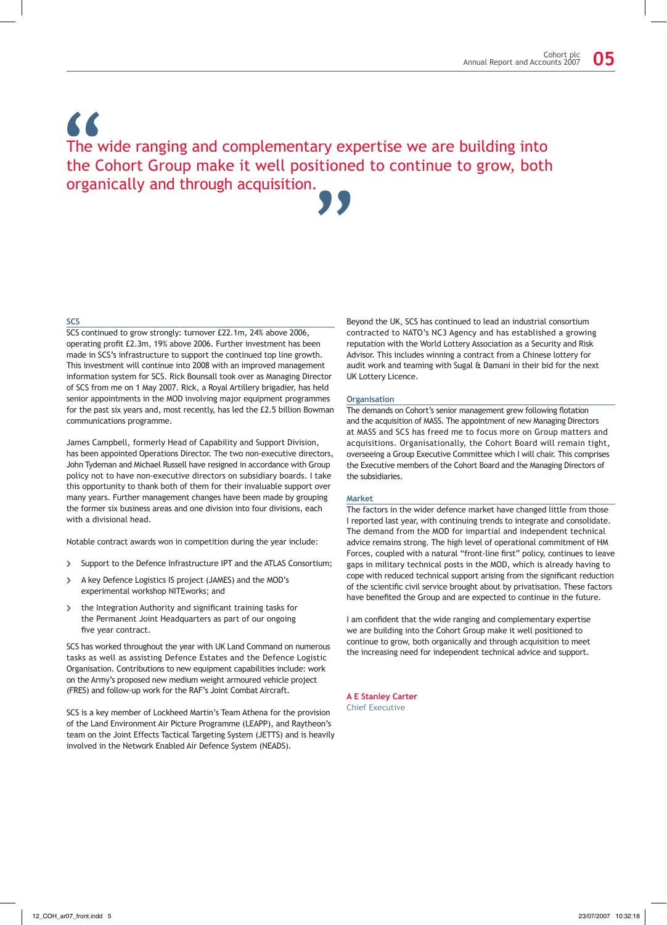# The wide ranging and complementary expertise we are building into the Cohort Group make it well positioned to continue to grow, both organically and through acquisition.  $^{\prime}$  $\epsilon$

### **SCS**

SCS continued to grow strongly: turnover £22.1m, 24% above 2006, operating profit £2.3m, 19% above 2006. Further investment has been made in SCS's infrastructure to support the continued top line growth. This investment will continue into 2008 with an improved management information system for SCS. Rick Bounsall took over as Managing Director of SCS from me on 1 May 2007. Rick, a Royal Artillery brigadier, has held senior appointments in the MOD involving major equipment programmes for the past six years and, most recently, has led the £2.5 billion Bowman communications programme.

James Campbell, formerly Head of Capability and Support Division, has been appointed Operations Director. The two non-executive directors, John Tydeman and Michael Russell have resigned in accordance with Group policy not to have non-executive directors on subsidiary boards. I take this opportunity to thank both of them for their invaluable support over many years. Further management changes have been made by grouping the former six business areas and one division into four divisions, each with a divisional head.

Notable contract awards won in competition during the year include:

- > Support to the Defence Infrastructure IPT and the ATLAS Consortium;
- A key Defence Logistics IS project (JAMES) and the MOD's experimental workshop NITEworks; and
- the Integration Authority and significant training tasks for the Permanent Joint Headquarters as part of our ongoing five year contract.

SCS has worked throughout the year with UK Land Command on numerous tasks as well as assisting Defence Estates and the Defence Logistic Organisation. Contributions to new equipment capabilities include: work on the Army's proposed new medium weight armoured vehicle project (FRES) and follow-up work for the RAF's Joint Combat Aircraft.

SCS is a key member of Lockheed Martin's Team Athena for the provision of the Land Environment Air Picture Programme (LEAPP), and Raytheon's team on the Joint Effects Tactical Targeting System (JETTS) and is heavily involved in the Network Enabled Air Defence System (NEADS).

Beyond the UK, SCS has continued to lead an industrial consortium contracted to NATO's NC3 Agency and has established a growing reputation with the World Lottery Association as a Security and Risk Advisor. This includes winning a contract from a Chinese lottery for audit work and teaming with Sugal & Damani in their bid for the next UK Lottery Licence.

### **Organisation**

The demands on Cohort's senior management grew following flotation and the acquisition of MASS. The appointment of new Managing Directors at MASS and SCS has freed me to focus more on Group matters and acquisitions. Organisationally, the Cohort Board will remain tight, overseeing a Group Executive Committee which I will chair. This comprises the Executive members of the Cohort Board and the Managing Directors of the subsidiaries.

### **Market**

The factors in the wider defence market have changed little from those I reported last year, with continuing trends to integrate and consolidate. The demand from the MOD for impartial and independent technical advice remains strong. The high level of operational commitment of HM Forces, coupled with a natural "front-line first" policy, continues to leave gaps in military technical posts in the MOD, which is already having to cope with reduced technical support arising from the significant reduction of the scientific civil service brought about by privatisation. These factors have benefited the Group and are expected to continue in the future.

I am confident that the wide ranging and complementary expertise we are building into the Cohort Group make it well positioned to continue to grow, both organically and through acquisition to meet the increasing need for independent technical advice and support.

**A E Stanley Carter** Chief Executive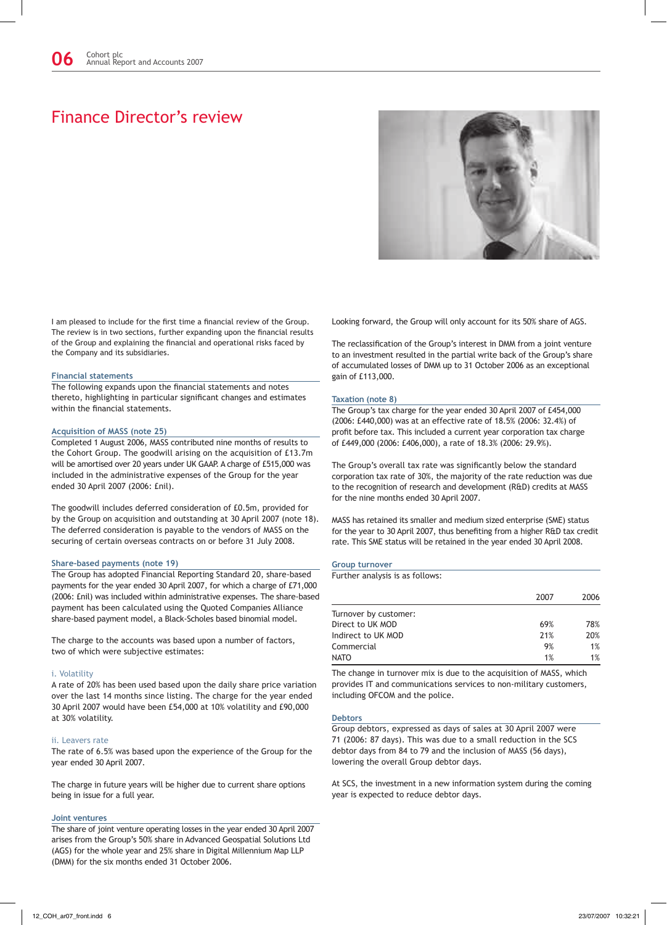### Finance Director's review



I am pleased to include for the first time a financial review of the Group. The review is in two sections, further expanding upon the financial results of the Group and explaining the financial and operational risks faced by the Company and its subsidiaries.

### **Financial statements**

The following expands upon the financial statements and notes thereto, highlighting in particular significant changes and estimates within the financial statements.

### **Acquisition of MASS (note 25)**

Completed 1 August 2006, MASS contributed nine months of results to the Cohort Group. The goodwill arising on the acquisition of £13.7m will be amortised over 20 years under UK GAAP. A charge of £515,000 was included in the administrative expenses of the Group for the year ended 30 April 2007 (2006: £nil).

The goodwill includes deferred consideration of £0.5m, provided for by the Group on acquisition and outstanding at 30 April 2007 (note 18). The deferred consideration is payable to the vendors of MASS on the securing of certain overseas contracts on or before 31 July 2008.

### **Share-based payments (note 19)**

The Group has adopted Financial Reporting Standard 20, share-based payments for the year ended 30 April 2007, for which a charge of £71,000 (2006: £nil) was included within administrative expenses. The share-based payment has been calculated using the Quoted Companies Alliance share-based payment model, a Black-Scholes based binomial model.

The charge to the accounts was based upon a number of factors, two of which were subjective estimates:

### i. Volatility

A rate of 20% has been used based upon the daily share price variation over the last 14 months since listing. The charge for the year ended 30 April 2007 would have been £54,000 at 10% volatility and £90,000 at 30% volatility.

### ii. Leavers rate

The rate of 6.5% was based upon the experience of the Group for the year ended 30 April 2007.

The charge in future years will be higher due to current share options being in issue for a full year.

### **Joint ventures**

The share of joint venture operating losses in the year ended 30 April 2007 arises from the Group's 50% share in Advanced Geospatial Solutions Ltd (AGS) for the whole year and 25% share in Digital Millennium Map LLP (DMM) for the six months ended 31 October 2006.

Looking forward, the Group will only account for its 50% share of AGS.

The reclassification of the Group's interest in DMM from a joint venture to an investment resulted in the partial write back of the Group's share of accumulated losses of DMM up to 31 October 2006 as an exceptional gain of £113,000.

### **Taxation (note 8)**

The Group's tax charge for the year ended 30 April 2007 of £454,000 (2006: £440,000) was at an effective rate of 18.5% (2006: 32.4%) of profit before tax. This included a current year corporation tax charge of £449,000 (2006: £406,000), a rate of 18.3% (2006: 29.9%).

The Group's overall tax rate was significantly below the standard corporation tax rate of 30%, the majority of the rate reduction was due to the recognition of research and development (R&D) credits at MASS for the nine months ended 30 April 2007.

MASS has retained its smaller and medium sized enterprise (SME) status for the year to 30 April 2007, thus benefiting from a higher R&D tax credit rate. This SME status will be retained in the year ended 30 April 2008.

### **Group turnover**

Further analysis is as follows:

|                       | 2007 | 2006 |
|-----------------------|------|------|
| Turnover by customer: |      |      |
| Direct to UK MOD      | 69%  | 78%  |
| Indirect to UK MOD    | 21%  | 20%  |
| Commercial            | 9%   | 1%   |
| <b>NATO</b>           | 1%   | 1%   |

The change in turnover mix is due to the acquisition of MASS, which provides IT and communications services to non-military customers, including OFCOM and the police.

### **Debtors**

Group debtors, expressed as days of sales at 30 April 2007 were 71 (2006: 87 days). This was due to a small reduction in the SCS debtor days from 84 to 79 and the inclusion of MASS (56 days), lowering the overall Group debtor days.

At SCS, the investment in a new information system during the coming year is expected to reduce debtor days.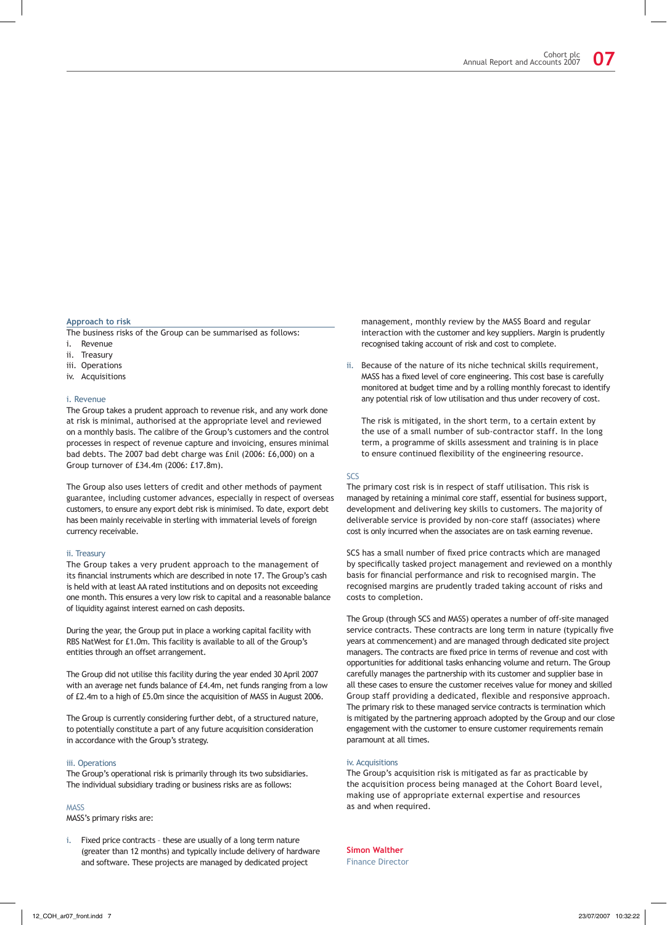### **Approach to risk**

The business risks of the Group can be summarised as follows:

- i. Revenue
- ii. Treasury
- iii. Operations
- iv. Acquisitions

### i. Revenue

The Group takes a prudent approach to revenue risk, and any work done at risk is minimal, authorised at the appropriate level and reviewed on a monthly basis. The calibre of the Group's customers and the control processes in respect of revenue capture and invoicing, ensures minimal bad debts. The 2007 bad debt charge was £nil (2006: £6,000) on a Group turnover of £34.4m (2006: £17.8m).

The Group also uses letters of credit and other methods of payment guarantee, including customer advances, especially in respect of overseas customers, to ensure any export debt risk is minimised. To date, export debt has been mainly receivable in sterling with immaterial levels of foreign currency receivable.

### ii. Treasury

The Group takes a very prudent approach to the management of its financial instruments which are described in note 17. The Group's cash is held with at least AA rated institutions and on deposits not exceeding one month. This ensures a very low risk to capital and a reasonable balance of liquidity against interest earned on cash deposits.

During the year, the Group put in place a working capital facility with RBS NatWest for £1.0m. This facility is available to all of the Group's entities through an offset arrangement.

The Group did not utilise this facility during the year ended 30 April 2007 with an average net funds balance of £4.4m, net funds ranging from a low of £2.4m to a high of £5.0m since the acquisition of MASS in August 2006.

The Group is currently considering further debt, of a structured nature, to potentially constitute a part of any future acquisition consideration in accordance with the Group's strategy.

### iii. Operations

The Group's operational risk is primarily through its two subsidiaries. The individual subsidiary trading or business risks are as follows:

### **MASS**

MASS's primary risks are:

i. Fixed price contracts – these are usually of a long term nature (greater than 12 months) and typically include delivery of hardware and software. These projects are managed by dedicated project

management, monthly review by the MASS Board and regular interaction with the customer and key suppliers. Margin is prudently recognised taking account of risk and cost to complete.

ii. Because of the nature of its niche technical skills requirement, MASS has a fixed level of core engineering. This cost base is carefully monitored at budget time and by a rolling monthly forecast to identify any potential risk of low utilisation and thus under recovery of cost.

 The risk is mitigated, in the short term, to a certain extent by the use of a small number of sub-contractor staff. In the long term, a programme of skills assessment and training is in place to ensure continued flexibility of the engineering resource.

### SCS

The primary cost risk is in respect of staff utilisation. This risk is managed by retaining a minimal core staff, essential for business support, development and delivering key skills to customers. The majority of deliverable service is provided by non-core staff (associates) where cost is only incurred when the associates are on task earning revenue.

SCS has a small number of fixed price contracts which are managed by specifically tasked project management and reviewed on a monthly basis for financial performance and risk to recognised margin. The recognised margins are prudently traded taking account of risks and costs to completion.

The Group (through SCS and MASS) operates a number of off-site managed service contracts. These contracts are long term in nature (typically five years at commencement) and are managed through dedicated site project managers. The contracts are fixed price in terms of revenue and cost with opportunities for additional tasks enhancing volume and return. The Group carefully manages the partnership with its customer and supplier base in all these cases to ensure the customer receives value for money and skilled Group staff providing a dedicated, flexible and responsive approach. The primary risk to these managed service contracts is termination which is mitigated by the partnering approach adopted by the Group and our close engagement with the customer to ensure customer requirements remain paramount at all times.

### iv. Acquisitions

The Group's acquisition risk is mitigated as far as practicable by the acquisition process being managed at the Cohort Board level, making use of appropriate external expertise and resources as and when required.

**Simon Walther** Finance Director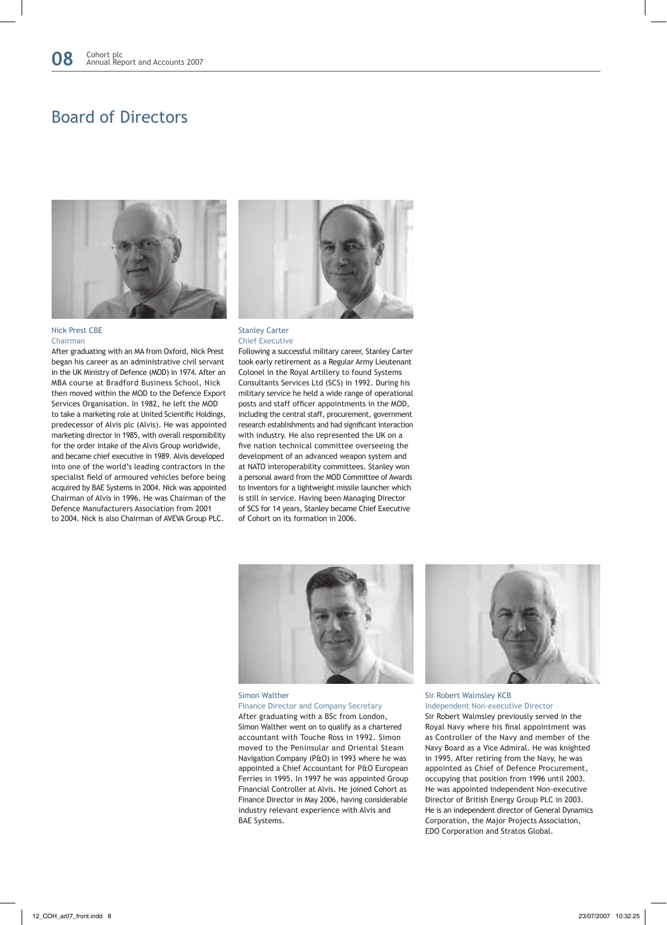### Board of Directors



### Nick Prest CBE Chairman

After graduating with an MA from Oxford, Nick Prest began his career as an administrative civil servant in the UK Ministry of Defence (MOD) in 1974. After an MBA course at Bradford Business School, Nick then moved within the MOD to the Defence Export Services Organisation. In 1982, he left the MOD to take a marketing role at United Scientific Holdings, predecessor of Alvis plc (Alvis). He was appointed marketing director in 1985, with overall responsibility for the order intake of the Alvis Group worldwide, and became chief executive in 1989. Alvis developed into one of the world's leading contractors in the specialist field of armoured vehicles before being acquired by BAE Systems in 2004. Nick was appointed Chairman of Alvis in 1996. He was Chairman of the Defence Manufacturers Association from 2001 to 2004. Nick is also Chairman of AVEVA Group PLC.



### Stanley Carter Chief Executive

Following a successful military career, Stanley Carter took early retirement as a Regular Army Lieutenant Colonel in the Royal Artillery to found Systems Consultants Services Ltd (SCS) in 1992. During his military service he held a wide range of operational posts and staff officer appointments in the MOD, including the central staff, procurement, government research establishments and had significant interaction with industry. He also represented the UK on a five nation technical committee overseeing the development of an advanced weapon system and at NATO interoperability committees. Stanley won a personal award from the MOD Committee of Awards to Inventors for a lightweight missile launcher which is still in service. Having been Managing Director of SCS for 14 years, Stanley became Chief Executive of Cohort on its formation in 2006.



### Simon Walther

Finance Director and Company Secretary

After graduating with a BSc from London, Simon Walther went on to qualify as a chartered accountant with Touche Ross in 1992. Simon moved to the Peninsular and Oriental Steam Navigation Company (P&O) in 1993 where he was appointed a Chief Accountant for P&O European Ferries in 1995. In 1997 he was appointed Group Financial Controller at Alvis. He joined Cohort as Finance Director in May 2006, having considerable industry relevant experience with Alvis and BAE Systems.



### Sir Robert Walmsley KCB Independent Non-executive Director

Sir Robert Walmsley previously served in the Royal Navy where his final appointment was as Controller of the Navy and member of the Navy Board as a Vice Admiral. He was knighted in 1995. After retiring from the Navy, he was appointed as Chief of Defence Procurement, occupying that position from 1996 until 2003. He was appointed independent Non-executive Director of British Energy Group PLC in 2003. He is an independent director of General Dynamics Corporation, the Major Projects Association, EDO Corporation and Stratos Global.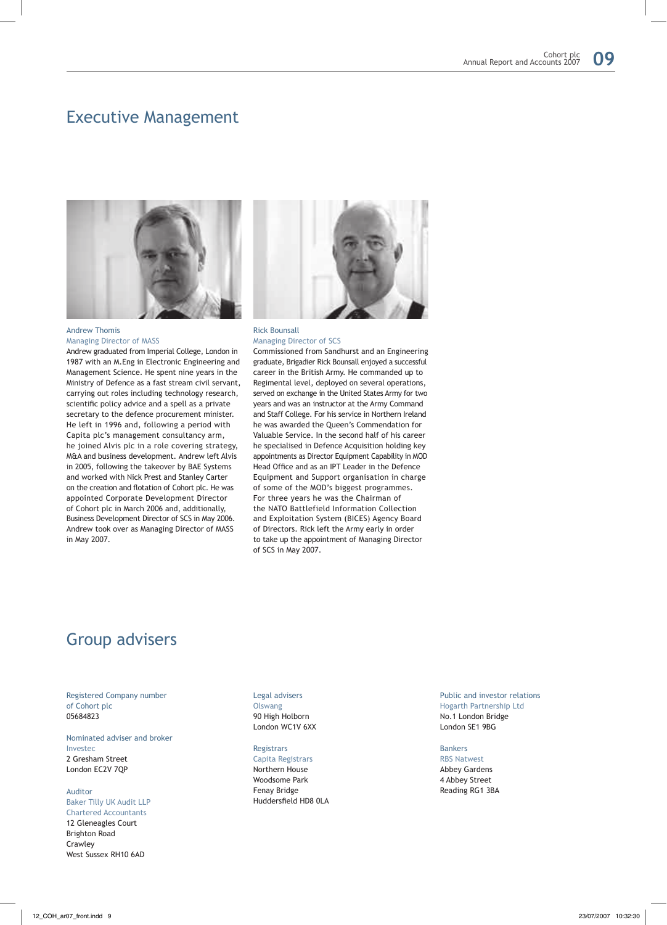### Executive Management



Andrew Thomis Managing Director of MASS

Andrew graduated from Imperial College, London in 1987 with an M.Eng in Electronic Engineering and Management Science. He spent nine years in the Ministry of Defence as a fast stream civil servant, carrying out roles including technology research, scientific policy advice and a spell as a private secretary to the defence procurement minister. He left in 1996 and, following a period with Capita plc's management consultancy arm, he joined Alvis plc in a role covering strategy, M&A and business development. Andrew left Alvis in 2005, following the takeover by BAE Systems and worked with Nick Prest and Stanley Carter on the creation and flotation of Cohort plc. He was appointed Corporate Development Director of Cohort plc in March 2006 and, additionally, Business Development Director of SCS in May 2006. Andrew took over as Managing Director of MASS in May 2007.



### Rick Bounsall Managing Director of SCS

Commissioned from Sandhurst and an Engineering graduate, Brigadier Rick Bounsall enjoyed a successful career in the British Army. He commanded up to Regimental level, deployed on several operations, served on exchange in the United States Army for two years and was an instructor at the Army Command and Staff College. For his service in Northern Ireland he was awarded the Queen's Commendation for Valuable Service. In the second half of his career he specialised in Defence Acquisition holding key appointments as Director Equipment Capability in MOD Head Office and as an IPT Leader in the Defence Equipment and Support organisation in charge of some of the MOD's biggest programmes. For three years he was the Chairman of the NATO Battlefield Information Collection and Exploitation System (BICES) Agency Board of Directors. Rick left the Army early in order to take up the appointment of Managing Director of SCS in May 2007.

### Group advisers

Registered Company number of Cohort plc 05684823

Nominated adviser and broker Investec 2 Gresham Street London EC2V 7QP

### Auditor

Baker Tilly UK Audit LLP Chartered Accountants 12 Gleneagles Court Brighton Road **Crawley** West Sussex RH10 6AD

### Legal advisers Olswang

90 High Holborn London WC1V 6XX

### **Registrars**

Capita Registrars Northern House Woodsome Park Fenay Bridge Huddersfield HD8 0LA Public and investor relations Hogarth Partnership Ltd No.1 London Bridge London SE1 9BG

### Bankers

RBS Natwest Abbey Gardens 4 Abbey Street Reading RG1 3BA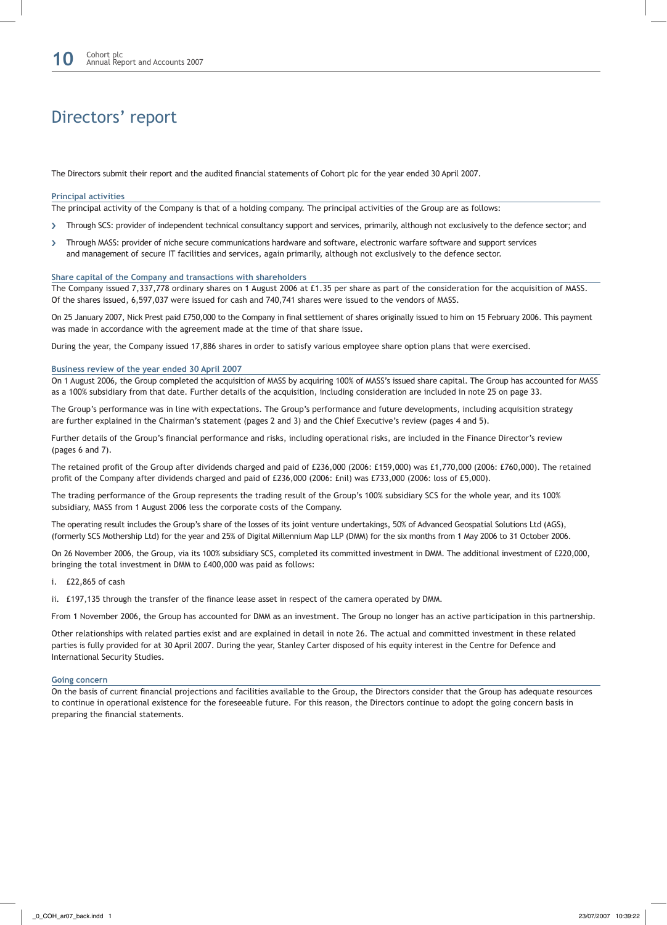## Directors' report

The Directors submit their report and the audited financial statements of Cohort plc for the year ended 30 April 2007.

### **Principal activities**

The principal activity of the Company is that of a holding company. The principal activities of the Group are as follows:

- > Through SCS: provider of independent technical consultancy support and services, primarily, although not exclusively to the defence sector; and
- > Through MASS: provider of niche secure communications hardware and software, electronic warfare software and support services and management of secure IT facilities and services, again primarily, although not exclusively to the defence sector.

### **Share capital of the Company and transactions with shareholders**

The Company issued 7,337,778 ordinary shares on 1 August 2006 at £1.35 per share as part of the consideration for the acquisition of MASS. Of the shares issued, 6,597,037 were issued for cash and 740,741 shares were issued to the vendors of MASS.

On 25 January 2007, Nick Prest paid £750,000 to the Company in final settlement of shares originally issued to him on 15 February 2006. This payment was made in accordance with the agreement made at the time of that share issue.

During the year, the Company issued 17,886 shares in order to satisfy various employee share option plans that were exercised.

#### **Business review of the year ended 30 April 2007**

On 1 August 2006, the Group completed the acquisition of MASS by acquiring 100% of MASS's issued share capital. The Group has accounted for MASS as a 100% subsidiary from that date. Further details of the acquisition, including consideration are included in note 25 on page 33.

The Group's performance was in line with expectations. The Group's performance and future developments, including acquisition strategy are further explained in the Chairman's statement (pages 2 and 3) and the Chief Executive's review (pages 4 and 5).

Further details of the Group's financial performance and risks, including operational risks, are included in the Finance Director's review (pages 6 and 7).

The retained profit of the Group after dividends charged and paid of £236,000 (2006: £159,000) was £1,770,000 (2006: £760,000). The retained profit of the Company after dividends charged and paid of £236,000 (2006: £nil) was £733,000 (2006: loss of £5,000).

The trading performance of the Group represents the trading result of the Group's 100% subsidiary SCS for the whole year, and its 100% subsidiary, MASS from 1 August 2006 less the corporate costs of the Company.

The operating result includes the Group's share of the losses of its joint venture undertakings, 50% of Advanced Geospatial Solutions Ltd (AGS), (formerly SCS Mothership Ltd) for the year and 25% of Digital Millennium Map LLP (DMM) for the six months from 1 May 2006 to 31 October 2006.

On 26 November 2006, the Group, via its 100% subsidiary SCS, completed its committed investment in DMM. The additional investment of £220,000, bringing the total investment in DMM to £400,000 was paid as follows:

- i. £22,865 of cash
- ii. £197,135 through the transfer of the finance lease asset in respect of the camera operated by DMM.

From 1 November 2006, the Group has accounted for DMM as an investment. The Group no longer has an active participation in this partnership.

Other relationships with related parties exist and are explained in detail in note 26. The actual and committed investment in these related parties is fully provided for at 30 April 2007. During the year, Stanley Carter disposed of his equity interest in the Centre for Defence and International Security Studies.

### **Going concern**

On the basis of current financial projections and facilities available to the Group, the Directors consider that the Group has adequate resources to continue in operational existence for the foreseeable future. For this reason, the Directors continue to adopt the going concern basis in preparing the financial statements.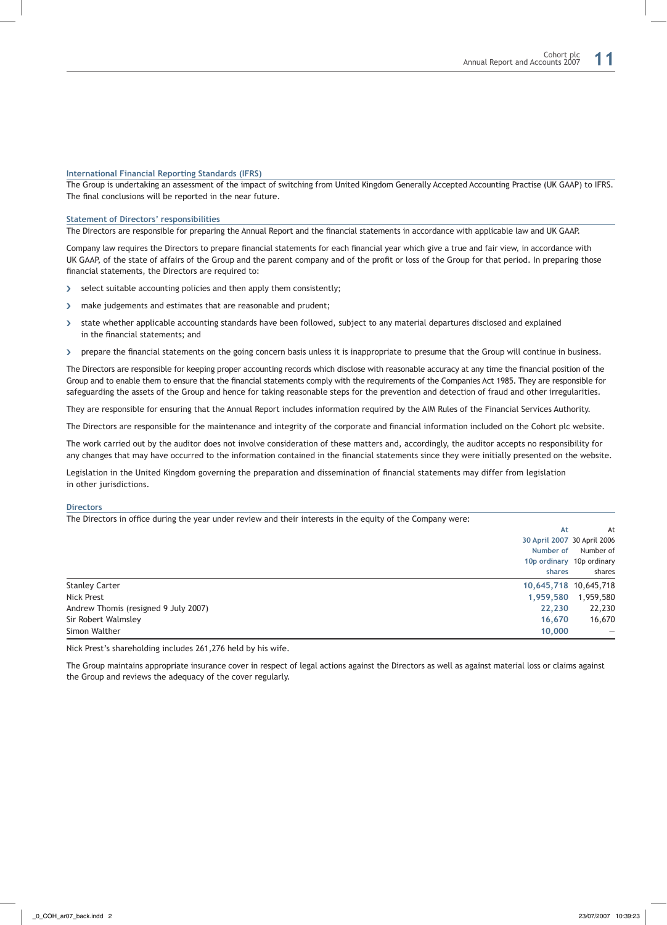### **International Financial Reporting Standards (IFRS)**

The Group is undertaking an assessment of the impact of switching from United Kingdom Generally Accepted Accounting Practise (UK GAAP) to IFRS. The final conclusions will be reported in the near future.

### **Statement of Directors' responsibilities**

The Directors are responsible for preparing the Annual Report and the financial statements in accordance with applicable law and UK GAAP.

Company law requires the Directors to prepare financial statements for each financial year which give a true and fair view, in accordance with UK GAAP, of the state of affairs of the Group and the parent company and of the profit or loss of the Group for that period. In preparing those financial statements, the Directors are required to:

- Select suitable accounting policies and then apply them consistently;
- > make judgements and estimates that are reasonable and prudent;
- state whether applicable accounting standards have been followed, subject to any material departures disclosed and explained in the financial statements; and
- > prepare the financial statements on the going concern basis unless it is inappropriate to presume that the Group will continue in business.

The Directors are responsible for keeping proper accounting records which disclose with reasonable accuracy at any time the financial position of the Group and to enable them to ensure that the financial statements comply with the requirements of the Companies Act 1985. They are responsible for safeguarding the assets of the Group and hence for taking reasonable steps for the prevention and detection of fraud and other irregularities.

They are responsible for ensuring that the Annual Report includes information required by the AIM Rules of the Financial Services Authority.

The Directors are responsible for the maintenance and integrity of the corporate and financial information included on the Cohort plc website.

The work carried out by the auditor does not involve consideration of these matters and, accordingly, the auditor accepts no responsibility for any changes that may have occurred to the information contained in the financial statements since they were initially presented on the website.

Legislation in the United Kingdom governing the preparation and dissemination of financial statements may differ from legislation in other jurisdictions.

### **Directors**

The Directors in office during the year under review and their interests in the equity of the Company were:

|                                      | At                          | At                        |
|--------------------------------------|-----------------------------|---------------------------|
|                                      | 30 April 2007 30 April 2006 |                           |
|                                      | Number of                   | Number of                 |
|                                      |                             | 10p ordinary 10p ordinary |
|                                      | shares                      | shares                    |
| <b>Stanley Carter</b>                | 10,645,718 10,645,718       |                           |
| Nick Prest                           | 1,959,580                   | 1,959,580                 |
| Andrew Thomis (resigned 9 July 2007) | 22,230                      | 22,230                    |
| Sir Robert Walmsley                  | 16,670                      | 16,670                    |
| Simon Walther                        | 10,000                      |                           |

Nick Prest's shareholding includes 261,276 held by his wife.

The Group maintains appropriate insurance cover in respect of legal actions against the Directors as well as against material loss or claims against the Group and reviews the adequacy of the cover regularly.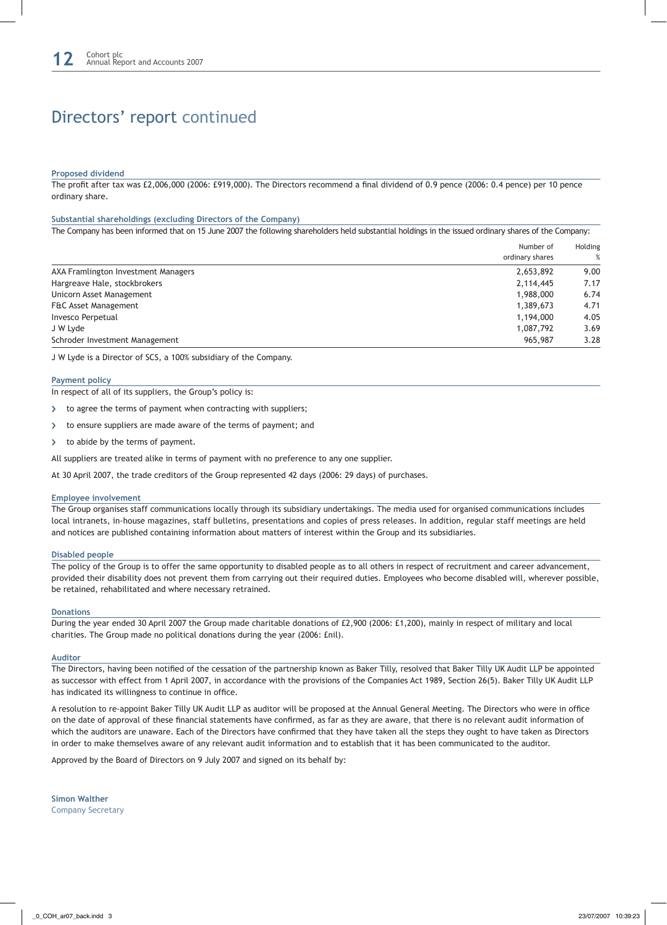## Directors' report continued

### **Proposed dividend**

The profit after tax was £2,006,000 (2006: £919,000). The Directors recommend a final dividend of 0.9 pence (2006: 0.4 pence) per 10 pence ordinary share.

### **Substantial shareholdings (excluding Directors of the Company)**

The Company has been informed that on 15 June 2007 the following shareholders held substantial holdings in the issued ordinary shares of the Company:

|                                     | Number of<br>ordinary shares | Holding<br>% |
|-------------------------------------|------------------------------|--------------|
| AXA Framlington Investment Managers | 2,653,892                    | 9.00         |
| Hargreave Hale, stockbrokers        | 2,114,445                    | 7.17         |
| Unicorn Asset Management            | 1,988,000                    | 6.74         |
| <b>F&amp;C Asset Management</b>     | 1,389,673                    | 4.71         |
| Invesco Perpetual                   | 1,194,000                    | 4.05         |
| J W Lyde                            | 1,087,792                    | 3.69         |
| Schroder Investment Management      | 965,987                      | 3.28         |

J W Lyde is a Director of SCS, a 100% subsidiary of the Company.

### **Payment policy**

In respect of all of its suppliers, the Group's policy is:

- to agree the terms of payment when contracting with suppliers;
- to ensure suppliers are made aware of the terms of payment; and
- > to abide by the terms of payment.
- All suppliers are treated alike in terms of payment with no preference to any one supplier.
- At 30 April 2007, the trade creditors of the Group represented 42 days (2006: 29 days) of purchases.

### **Employee involvement**

The Group organises staff communications locally through its subsidiary undertakings. The media used for organised communications includes local intranets, in-house magazines, staff bulletins, presentations and copies of press releases. In addition, regular staff meetings are held and notices are published containing information about matters of interest within the Group and its subsidiaries.

### **Disabled people**

The policy of the Group is to offer the same opportunity to disabled people as to all others in respect of recruitment and career advancement, provided their disability does not prevent them from carrying out their required duties. Employees who become disabled will, wherever possible, be retained, rehabilitated and where necessary retrained.

### **Donations**

During the year ended 30 April 2007 the Group made charitable donations of £2,900 (2006: £1,200), mainly in respect of military and local charities. The Group made no political donations during the year (2006: £nil).

#### **Auditor**

The Directors, having been notified of the cessation of the partnership known as Baker Tilly, resolved that Baker Tilly UK Audit LLP be appointed as successor with effect from 1 April 2007, in accordance with the provisions of the Companies Act 1989, Section 26(5). Baker Tilly UK Audit LLP has indicated its willingness to continue in office.

A resolution to re-appoint Baker Tilly UK Audit LLP as auditor will be proposed at the Annual General Meeting. The Directors who were in office on the date of approval of these financial statements have confirmed, as far as they are aware, that there is no relevant audit information of which the auditors are unaware. Each of the Directors have confirmed that they have taken all the steps they ought to have taken as Directors in order to make themselves aware of any relevant audit information and to establish that it has been communicated to the auditor.

Approved by the Board of Directors on 9 July 2007 and signed on its behalf by:

**Simon Walther** Company Secretary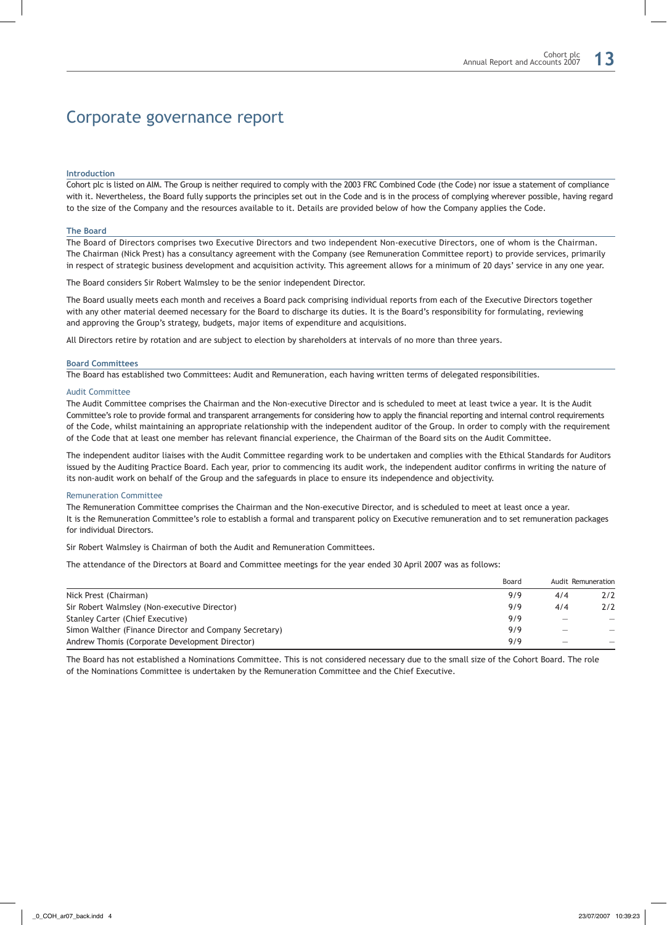## Corporate governance report

### **Introduction**

Cohort plc is listed on AIM. The Group is neither required to comply with the 2003 FRC Combined Code (the Code) nor issue a statement of compliance with it. Nevertheless, the Board fully supports the principles set out in the Code and is in the process of complying wherever possible, having regard to the size of the Company and the resources available to it. Details are provided below of how the Company applies the Code.

### **The Board**

The Board of Directors comprises two Executive Directors and two independent Non-executive Directors, one of whom is the Chairman. The Chairman (Nick Prest) has a consultancy agreement with the Company (see Remuneration Committee report) to provide services, primarily in respect of strategic business development and acquisition activity. This agreement allows for a minimum of 20 days' service in any one year.

The Board considers Sir Robert Walmsley to be the senior independent Director.

The Board usually meets each month and receives a Board pack comprising individual reports from each of the Executive Directors together with any other material deemed necessary for the Board to discharge its duties. It is the Board's responsibility for formulating, reviewing and approving the Group's strategy, budgets, major items of expenditure and acquisitions.

All Directors retire by rotation and are subject to election by shareholders at intervals of no more than three years.

### **Board Committees**

The Board has established two Committees: Audit and Remuneration, each having written terms of delegated responsibilities.

### Audit Committee

The Audit Committee comprises the Chairman and the Non-executive Director and is scheduled to meet at least twice a year. It is the Audit Committee's role to provide formal and transparent arrangements for considering how to apply the financial reporting and internal control requirements of the Code, whilst maintaining an appropriate relationship with the independent auditor of the Group. In order to comply with the requirement of the Code that at least one member has relevant financial experience, the Chairman of the Board sits on the Audit Committee.

The independent auditor liaises with the Audit Committee regarding work to be undertaken and complies with the Ethical Standards for Auditors issued by the Auditing Practice Board. Each year, prior to commencing its audit work, the independent auditor confirms in writing the nature of its non-audit work on behalf of the Group and the safeguards in place to ensure its independence and objectivity.

### Remuneration Committee

The Remuneration Committee comprises the Chairman and the Non-executive Director, and is scheduled to meet at least once a year. It is the Remuneration Committee's role to establish a formal and transparent policy on Executive remuneration and to set remuneration packages for individual Directors.

Sir Robert Walmsley is Chairman of both the Audit and Remuneration Committees.

The attendance of the Directors at Board and Committee meetings for the year ended 30 April 2007 was as follows:

|                                                        | Board |     | Audit Remuneration |
|--------------------------------------------------------|-------|-----|--------------------|
| Nick Prest (Chairman)                                  | 9/9   | 4/4 | 2/2                |
| Sir Robert Walmsley (Non-executive Director)           | 9/9   | 4/4 | 2/2                |
| Stanley Carter (Chief Executive)                       | 9/9   |     |                    |
| Simon Walther (Finance Director and Company Secretary) | 9/9   |     |                    |
| Andrew Thomis (Corporate Development Director)         | 9/9   |     |                    |

The Board has not established a Nominations Committee. This is not considered necessary due to the small size of the Cohort Board. The role of the Nominations Committee is undertaken by the Remuneration Committee and the Chief Executive.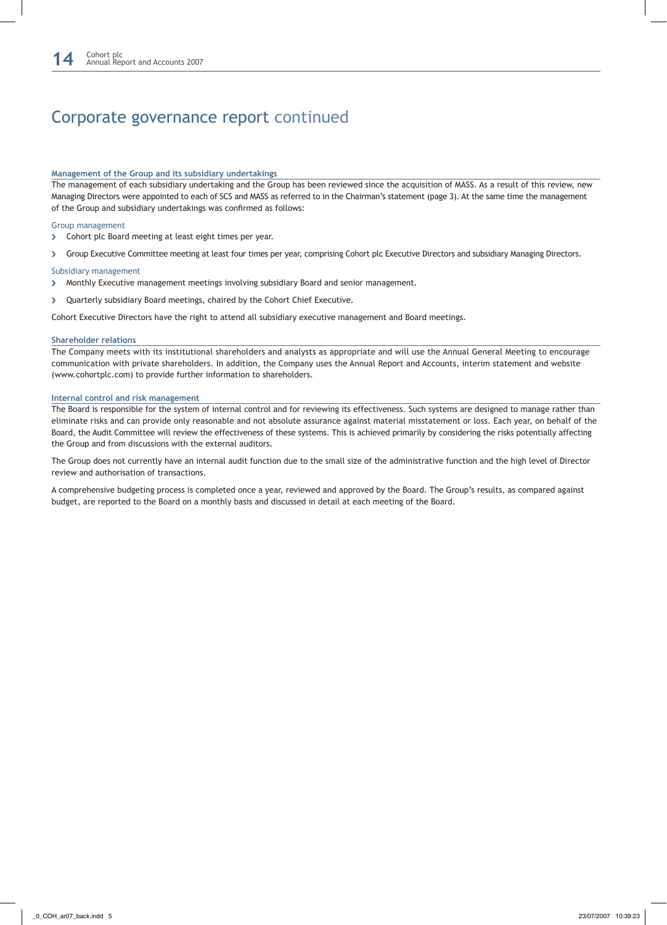## Corporate governance report continued

### **Management of the Group and its subsidiary undertakings**

The management of each subsidiary undertaking and the Group has been reviewed since the acquisition of MASS. As a result of this review, new Managing Directors were appointed to each of SCS and MASS as referred to in the Chairman's statement (page 3). At the same time the management of the Group and subsidiary undertakings was confirmed as follows:

### Group management

- > Cohort plc Board meeting at least eight times per year.
- > Group Executive Committee meeting at least four times per year, comprising Cohort plc Executive Directors and subsidiary Managing Directors.

### Subsidiary management

- Monthly Executive management meetings involving subsidiary Board and senior management.
- Quarterly subsidiary Board meetings, chaired by the Cohort Chief Executive.

Cohort Executive Directors have the right to attend all subsidiary executive management and Board meetings.

### **Shareholder relations**

The Company meets with its institutional shareholders and analysts as appropriate and will use the Annual General Meeting to encourage communication with private shareholders. In addition, the Company uses the Annual Report and Accounts, interim statement and website (www.cohortplc.com) to provide further information to shareholders.

### **Internal control and risk management**

The Board is responsible for the system of internal control and for reviewing its effectiveness. Such systems are designed to manage rather than eliminate risks and can provide only reasonable and not absolute assurance against material misstatement or loss. Each year, on behalf of the Board, the Audit Committee will review the effectiveness of these systems. This is achieved primarily by considering the risks potentially affecting the Group and from discussions with the external auditors.

The Group does not currently have an internal audit function due to the small size of the administrative function and the high level of Director review and authorisation of transactions.

A comprehensive budgeting process is completed once a year, reviewed and approved by the Board. The Group's results, as compared against budget, are reported to the Board on a monthly basis and discussed in detail at each meeting of the Board.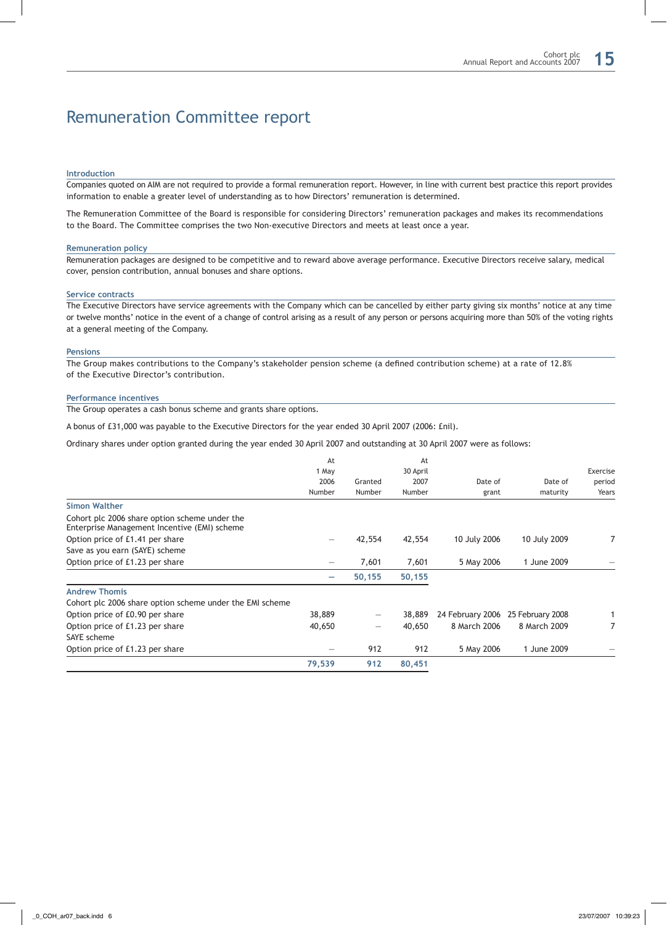## Remuneration Committee report

### **Introduction**

Companies quoted on AIM are not required to provide a formal remuneration report. However, in line with current best practice this report provides information to enable a greater level of understanding as to how Directors' remuneration is determined.

The Remuneration Committee of the Board is responsible for considering Directors' remuneration packages and makes its recommendations to the Board. The Committee comprises the two Non-executive Directors and meets at least once a year.

### **Remuneration policy**

Remuneration packages are designed to be competitive and to reward above average performance. Executive Directors receive salary, medical cover, pension contribution, annual bonuses and share options.

### **Service contracts**

The Executive Directors have service agreements with the Company which can be cancelled by either party giving six months' notice at any time or twelve months' notice in the event of a change of control arising as a result of any person or persons acquiring more than 50% of the voting rights at a general meeting of the Company.

### **Pensions**

The Group makes contributions to the Company's stakeholder pension scheme (a defined contribution scheme) at a rate of 12.8% of the Executive Director's contribution.

### **Performance incentives**

The Group operates a cash bonus scheme and grants share options.

A bonus of £31,000 was payable to the Executive Directors for the year ended 30 April 2007 (2006: £nil).

Ordinary shares under option granted during the year ended 30 April 2007 and outstanding at 30 April 2007 were as follows:

| At     |                          | At       |              |                  |                  |
|--------|--------------------------|----------|--------------|------------------|------------------|
| 1 May  |                          | 30 April |              |                  | Exercise         |
| 2006   | Granted                  | 2007     | Date of      | Date of          | period           |
| Number | Number                   | Number   | grant        | maturity         | Years            |
|        |                          |          |              |                  |                  |
|        |                          |          |              |                  |                  |
|        | 42,554                   | 42,554   | 10 July 2006 | 10 July 2009     | 7                |
|        |                          |          |              |                  |                  |
|        | 7,601                    | 7,601    | 5 May 2006   | 1 June 2009      |                  |
| -      | 50,155                   | 50,155   |              |                  |                  |
|        |                          |          |              |                  |                  |
|        |                          |          |              |                  |                  |
| 38,889 | -                        | 38,889   |              | 25 February 2008 |                  |
| 40,650 | $\overline{\phantom{0}}$ | 40,650   | 8 March 2006 | 8 March 2009     |                  |
|        |                          |          |              |                  |                  |
|        | 912                      | 912      | 5 May 2006   | 1 June 2009      |                  |
| 79,539 | 912                      | 80,451   |              |                  |                  |
|        |                          |          |              |                  | 24 February 2006 |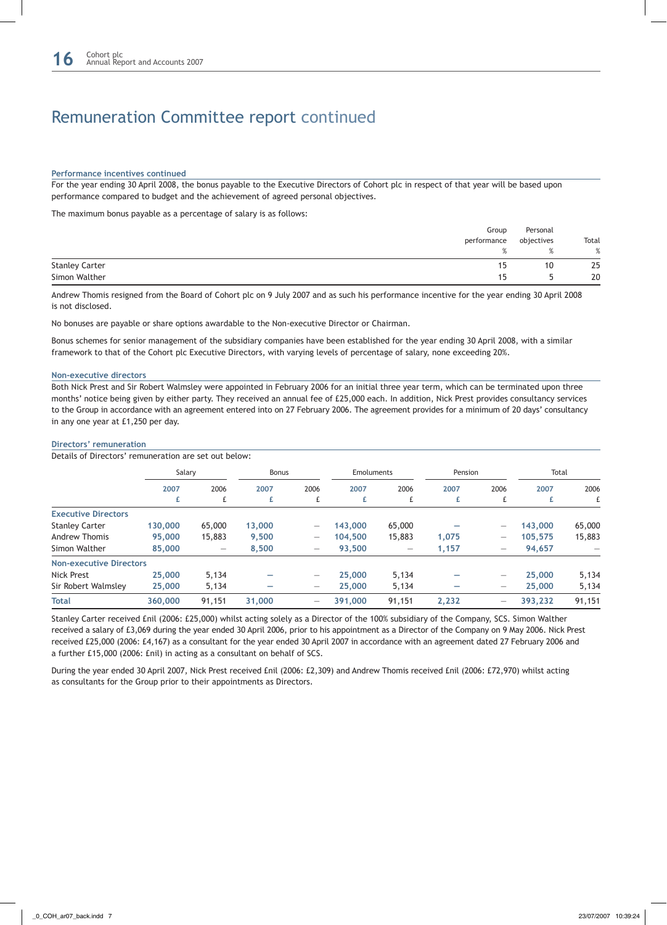## Remuneration Committee report continued

### **Performance incentives continued**

For the year ending 30 April 2008, the bonus payable to the Executive Directors of Cohort plc in respect of that year will be based upon performance compared to budget and the achievement of agreed personal objectives.

The maximum bonus payable as a percentage of salary is as follows:

|                       | Group       | Personal   |       |
|-----------------------|-------------|------------|-------|
|                       | performance | objectives | Total |
|                       |             |            | %     |
| <b>Stanley Carter</b> | 15          | 10         | 25    |
| Simon Walther         | 15          |            | 20    |

Andrew Thomis resigned from the Board of Cohort plc on 9 July 2007 and as such his performance incentive for the year ending 30 April 2008 is not disclosed.

No bonuses are payable or share options awardable to the Non-executive Director or Chairman.

Bonus schemes for senior management of the subsidiary companies have been established for the year ending 30 April 2008, with a similar framework to that of the Cohort plc Executive Directors, with varying levels of percentage of salary, none exceeding 20%.

### **Non-executive directors**

Both Nick Prest and Sir Robert Walmsley were appointed in February 2006 for an initial three year term, which can be terminated upon three months' notice being given by either party. They received an annual fee of £25,000 each. In addition, Nick Prest provides consultancy services to the Group in accordance with an agreement entered into on 27 February 2006. The agreement provides for a minimum of 20 days' consultancy in any one year at £1,250 per day.

### **Directors' remuneration**

Details of Directors' remuneration are set out below:

|                                | Salary  |        | <b>Bonus</b> |                          | Emoluments |        | Pension |                                | Total   |        |
|--------------------------------|---------|--------|--------------|--------------------------|------------|--------|---------|--------------------------------|---------|--------|
|                                | 2007    | 2006   | 2007         | 2006                     | 2007       | 2006   | 2007    | 2006                           | 2007    | 2006   |
|                                | £       |        | £            |                          | £          |        |         |                                |         | £      |
| <b>Executive Directors</b>     |         |        |              |                          |            |        |         |                                |         |        |
| <b>Stanley Carter</b>          | 130,000 | 65,000 | 13,000       | $\qquad \qquad$          | 143,000    | 65,000 |         | $\overline{\phantom{0}}$       | 143,000 | 65,000 |
| <b>Andrew Thomis</b>           | 95,000  | 15,883 | 9,500        | $\qquad \qquad -$        | 104,500    | 15,883 | 1,075   | $\qquad \qquad -$              | 105,575 | 15,883 |
| Simon Walther                  | 85,000  | —      | 8,500        | $\overline{\phantom{0}}$ | 93,500     |        | 1,157   | —                              | 94,657  |        |
| <b>Non-executive Directors</b> |         |        |              |                          |            |        |         |                                |         |        |
| Nick Prest                     | 25,000  | 5.134  |              | $\overline{\phantom{0}}$ | 25,000     | 5,134  |         | —                              | 25,000  | 5,134  |
| Sir Robert Walmsley            | 25,000  | 5,134  |              | -                        | 25,000     | 5,134  |         | —                              | 25,000  | 5,134  |
| <b>Total</b>                   | 360,000 | 91,151 | 31,000       | $\qquad \qquad -$        | 391,000    | 91,151 | 2,232   | $\qquad \qquad \longleftarrow$ | 393,232 | 91,151 |

Stanley Carter received £nil (2006: £25,000) whilst acting solely as a Director of the 100% subsidiary of the Company, SCS. Simon Walther received a salary of £3,069 during the year ended 30 April 2006, prior to his appointment as a Director of the Company on 9 May 2006. Nick Prest received £25,000 (2006: £4,167) as a consultant for the year ended 30 April 2007 in accordance with an agreement dated 27 February 2006 and a further £15,000 (2006: £nil) in acting as a consultant on behalf of SCS.

During the year ended 30 April 2007, Nick Prest received £nil (2006: £2,309) and Andrew Thomis received £nil (2006: £72,970) whilst acting as consultants for the Group prior to their appointments as Directors.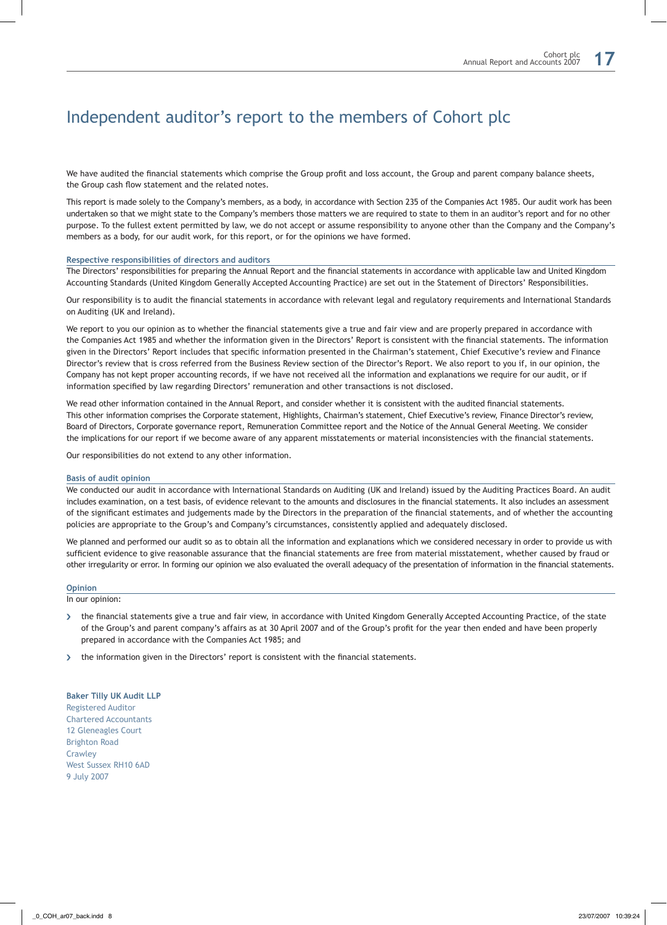## Independent auditor's report to the members of Cohort plc

We have audited the financial statements which comprise the Group profit and loss account, the Group and parent company balance sheets, the Group cash flow statement and the related notes.

This report is made solely to the Company's members, as a body, in accordance with Section 235 of the Companies Act 1985. Our audit work has been undertaken so that we might state to the Company's members those matters we are required to state to them in an auditor's report and for no other purpose. To the fullest extent permitted by law, we do not accept or assume responsibility to anyone other than the Company and the Company's members as a body, for our audit work, for this report, or for the opinions we have formed.

### **Respective responsibilities of directors and auditors**

The Directors' responsibilities for preparing the Annual Report and the financial statements in accordance with applicable law and United Kingdom Accounting Standards (United Kingdom Generally Accepted Accounting Practice) are set out in the Statement of Directors' Responsibilities.

Our responsibility is to audit the financial statements in accordance with relevant legal and regulatory requirements and International Standards on Auditing (UK and Ireland).

We report to you our opinion as to whether the financial statements give a true and fair view and are properly prepared in accordance with the Companies Act 1985 and whether the information given in the Directors' Report is consistent with the financial statements. The information given in the Directors' Report includes that specific information presented in the Chairman's statement, Chief Executive's review and Finance Director's review that is cross referred from the Business Review section of the Director's Report. We also report to you if, in our opinion, the Company has not kept proper accounting records, if we have not received all the information and explanations we require for our audit, or if information specified by law regarding Directors' remuneration and other transactions is not disclosed.

We read other information contained in the Annual Report, and consider whether it is consistent with the audited financial statements. This other information comprises the Corporate statement, Highlights, Chairman's statement, Chief Executive's review, Finance Director's review, Board of Directors, Corporate governance report, Remuneration Committee report and the Notice of the Annual General Meeting. We consider the implications for our report if we become aware of any apparent misstatements or material inconsistencies with the financial statements.

Our responsibilities do not extend to any other information.

### **Basis of audit opinion**

We conducted our audit in accordance with International Standards on Auditing (UK and Ireland) issued by the Auditing Practices Board. An audit includes examination, on a test basis, of evidence relevant to the amounts and disclosures in the financial statements. It also includes an assessment of the significant estimates and judgements made by the Directors in the preparation of the financial statements, and of whether the accounting policies are appropriate to the Group's and Company's circumstances, consistently applied and adequately disclosed.

We planned and performed our audit so as to obtain all the information and explanations which we considered necessary in order to provide us with sufficient evidence to give reasonable assurance that the financial statements are free from material misstatement, whether caused by fraud or other irregularity or error. In forming our opinion we also evaluated the overall adequacy of the presentation of information in the financial statements.

### **Opinion**

In our opinion:

- the financial statements give a true and fair view, in accordance with United Kingdom Generally Accepted Accounting Practice, of the state of the Group's and parent company's affairs as at 30 April 2007 and of the Group's profit for the year then ended and have been properly prepared in accordance with the Companies Act 1985; and
- the information given in the Directors' report is consistent with the financial statements.

**Baker Tilly UK Audit LLP** Registered Auditor Chartered Accountants 12 Gleneagles Court Brighton Road **Crawley** West Sussex RH10 6AD 9 July 2007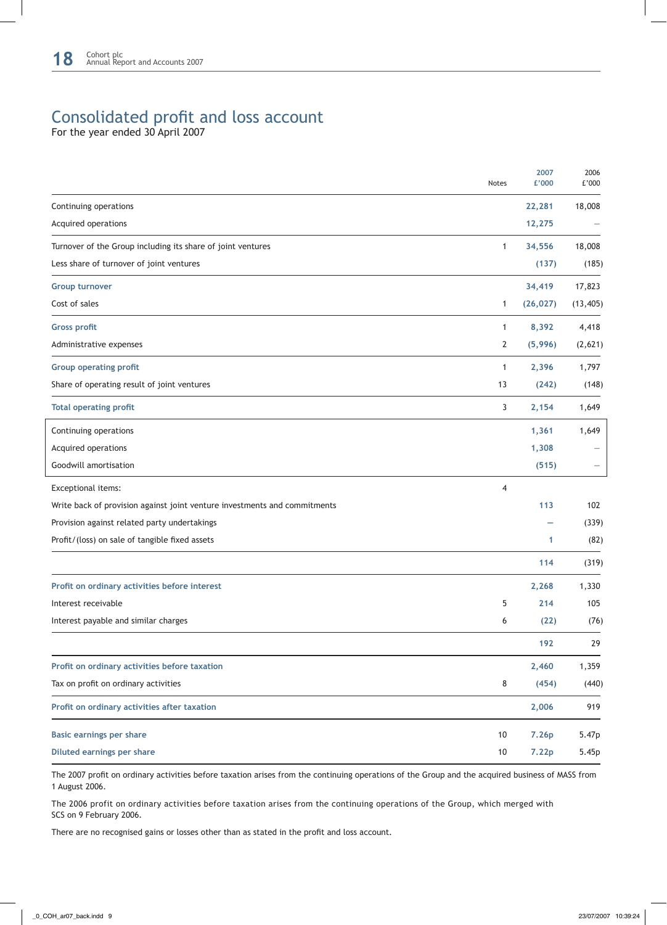## Consolidated profit and loss account

For the year ended 30 April 2007

|                                                                           | Notes        | 2007<br>£'000 | 2006<br>£'000 |
|---------------------------------------------------------------------------|--------------|---------------|---------------|
| Continuing operations                                                     |              | 22,281        | 18,008        |
| Acquired operations                                                       |              | 12,275        |               |
| Turnover of the Group including its share of joint ventures               | $\mathbf{1}$ | 34,556        | 18,008        |
| Less share of turnover of joint ventures                                  |              | (137)         | (185)         |
| <b>Group turnover</b>                                                     |              | 34,419        | 17,823        |
| Cost of sales                                                             | 1            | (26, 027)     | (13, 405)     |
| <b>Gross profit</b>                                                       | 1            | 8,392         | 4,418         |
| Administrative expenses                                                   | 2            | (5,996)       | (2,621)       |
| <b>Group operating profit</b>                                             | 1            | 2,396         | 1,797         |
| Share of operating result of joint ventures                               | 13           | (242)         | (148)         |
| <b>Total operating profit</b>                                             | 3            | 2,154         | 1,649         |
| Continuing operations                                                     |              | 1,361         | 1,649         |
| Acquired operations                                                       |              | 1,308         |               |
| Goodwill amortisation                                                     |              | (515)         |               |
| Exceptional items:                                                        | 4            |               |               |
| Write back of provision against joint venture investments and commitments |              | 113           | 102           |
| Provision against related party undertakings                              |              | -             | (339)         |
| Profit/(loss) on sale of tangible fixed assets                            |              | 1             | (82)          |
|                                                                           |              | 114           | (319)         |
| Profit on ordinary activities before interest                             |              | 2,268         | 1,330         |
| Interest receivable                                                       | 5            | 214           | 105           |
| Interest payable and similar charges                                      | 6            | (22)          | (76)          |
|                                                                           |              | 192           | 29            |
| Profit on ordinary activities before taxation                             |              | 2,460         | 1,359         |
| Tax on profit on ordinary activities                                      | 8            | (454)         | (440)         |
| Profit on ordinary activities after taxation                              |              | 2,006         | 919           |
| <b>Basic earnings per share</b>                                           | 10           | 7.26p         | 5.47p         |
| Diluted earnings per share                                                | 10           | 7.22p         | 5.45p         |

The 2007 profit on ordinary activities before taxation arises from the continuing operations of the Group and the acquired business of MASS from 1 August 2006.

The 2006 profit on ordinary activities before taxation arises from the continuing operations of the Group, which merged with SCS on 9 February 2006.

There are no recognised gains or losses other than as stated in the profit and loss account.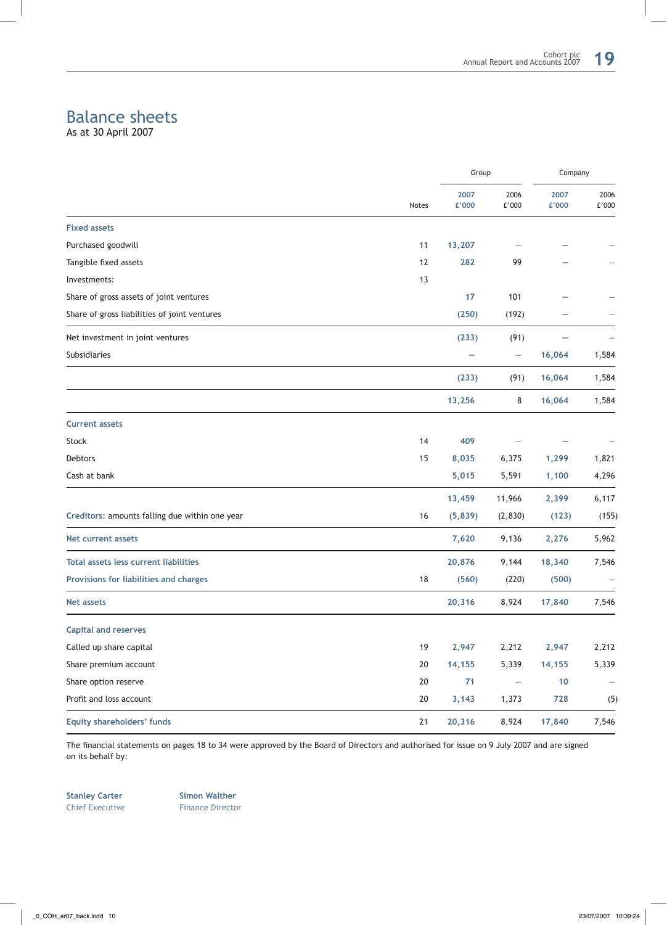## Balance sheets

As at 30 April 2007

|                                                |        | Group         |                          | Company       |               |  |
|------------------------------------------------|--------|---------------|--------------------------|---------------|---------------|--|
|                                                | Notes  | 2007<br>£'000 | 2006<br>£'000            | 2007<br>£'000 | 2006<br>£'000 |  |
| <b>Fixed assets</b>                            |        |               |                          |               |               |  |
| Purchased goodwill                             | 11     | 13,207        |                          |               |               |  |
| Tangible fixed assets                          | 12     | 282           | 99                       |               |               |  |
| Investments:                                   | 13     |               |                          |               |               |  |
| Share of gross assets of joint ventures        |        | 17            | 101                      |               |               |  |
| Share of gross liabilities of joint ventures   |        | (250)         | (192)                    |               |               |  |
| Net investment in joint ventures               |        | (233)         | (91)                     |               |               |  |
| Subsidiaries                                   |        |               | $\overline{\phantom{0}}$ | 16,064        | 1,584         |  |
|                                                |        | (233)         | (91)                     | 16,064        | 1,584         |  |
|                                                |        | 13,256        | 8                        | 16,064        | 1,584         |  |
| <b>Current assets</b>                          |        |               |                          |               |               |  |
| Stock                                          | 14     | 409           |                          |               |               |  |
| <b>Debtors</b>                                 | 15     | 8,035         | 6,375                    | 1,299         | 1,821         |  |
| Cash at bank                                   |        | 5,015         | 5,591                    | 1,100         | 4,296         |  |
|                                                |        | 13,459        | 11,966                   | 2,399         | 6,117         |  |
| Creditors: amounts falling due within one year | 16     | (5,839)       | (2, 830)                 | (123)         | (155)         |  |
| <b>Net current assets</b>                      |        | 7,620         | 9,136                    | 2,276         | 5,962         |  |
| <b>Total assets less current liabilities</b>   |        | 20,876        | 9,144                    | 18,340        | 7,546         |  |
| Provisions for liabilities and charges         | 18     | (560)         | (220)                    | (500)         |               |  |
| <b>Net assets</b>                              |        | 20,316        | 8,924                    | 17,840        | 7,546         |  |
| <b>Capital and reserves</b>                    |        |               |                          |               |               |  |
| Called up share capital                        | 19     | 2,947         | 2,212                    | 2,947         | 2,212         |  |
| Share premium account                          | $20\,$ | 14,155        | 5,339                    | 14,155        | 5,339         |  |
| Share option reserve                           | 20     | 71            | $\qquad \qquad -$        | 10            |               |  |
| Profit and loss account                        | $20\,$ | 3,143         | 1,373                    | 728           | (5)           |  |
| Equity shareholders' funds                     | 21     | 20,316        | 8,924                    | 17,840        | 7,546         |  |

The financial statements on pages 18 to 34 were approved by the Board of Directors and authorised for issue on 9 July 2007 and are signed on its behalf by:

**Stanley Carter Simon Walther<br>
Chief Executive Finance Director** Chief Executive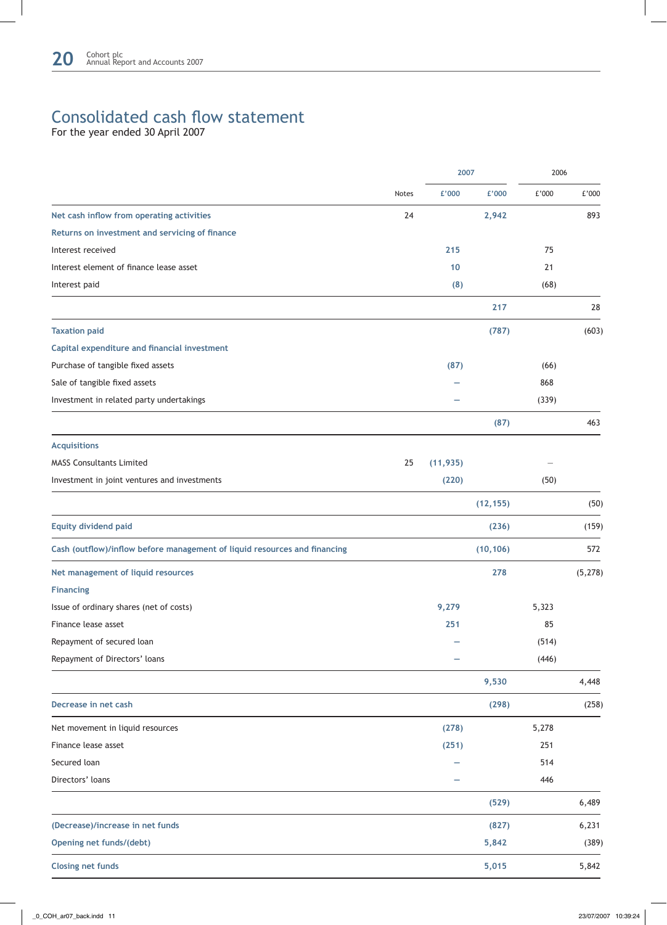## Consolidated cash flow statement

For the year ended 30 April 2007

|                                                                           |       | 2007      |           | 2006    |          |
|---------------------------------------------------------------------------|-------|-----------|-----------|---------|----------|
|                                                                           | Notes | £'000     | £'000     | $E'000$ | £'000    |
| Net cash inflow from operating activities                                 | 24    |           | 2,942     |         | 893      |
| Returns on investment and servicing of finance                            |       |           |           |         |          |
| Interest received                                                         |       | 215       |           | 75      |          |
| Interest element of finance lease asset                                   |       | 10        |           | 21      |          |
| Interest paid                                                             |       | (8)       |           | (68)    |          |
|                                                                           |       |           | 217       |         | 28       |
| <b>Taxation paid</b>                                                      |       |           | (787)     |         | (603)    |
| Capital expenditure and financial investment                              |       |           |           |         |          |
| Purchase of tangible fixed assets                                         |       | (87)      |           | (66)    |          |
| Sale of tangible fixed assets                                             |       |           |           | 868     |          |
| Investment in related party undertakings                                  |       |           |           | (339)   |          |
|                                                                           |       |           | (87)      |         | 463      |
| <b>Acquisitions</b>                                                       |       |           |           |         |          |
| <b>MASS Consultants Limited</b>                                           | 25    | (11, 935) |           |         |          |
| Investment in joint ventures and investments                              |       | (220)     |           | (50)    |          |
|                                                                           |       |           | (12, 155) |         | (50)     |
| Equity dividend paid                                                      |       |           | (236)     |         | (159)    |
| Cash (outflow)/inflow before management of liquid resources and financing |       |           | (10, 106) |         | 572      |
| Net management of liquid resources                                        |       |           | 278       |         | (5, 278) |
| <b>Financing</b>                                                          |       |           |           |         |          |
| Issue of ordinary shares (net of costs)                                   |       | 9,279     |           | 5,323   |          |
| Finance lease asset                                                       |       | 251       |           | 85      |          |
| Repayment of secured loan                                                 |       |           |           | (514)   |          |
| Repayment of Directors' loans                                             |       |           |           | (446)   |          |
|                                                                           |       |           | 9,530     |         | 4,448    |
| Decrease in net cash                                                      |       |           | (298)     |         | (258)    |
| Net movement in liquid resources                                          |       | (278)     |           | 5,278   |          |
| Finance lease asset                                                       |       | (251)     |           | 251     |          |
| Secured loan                                                              |       |           |           | 514     |          |
| Directors' loans                                                          |       |           |           | 446     |          |
|                                                                           |       |           | (529)     |         | 6,489    |
| (Decrease)/increase in net funds                                          |       |           | (827)     |         | 6,231    |
| Opening net funds/(debt)                                                  |       |           | 5,842     |         | (389)    |
| <b>Closing net funds</b>                                                  |       |           | 5,015     |         | 5,842    |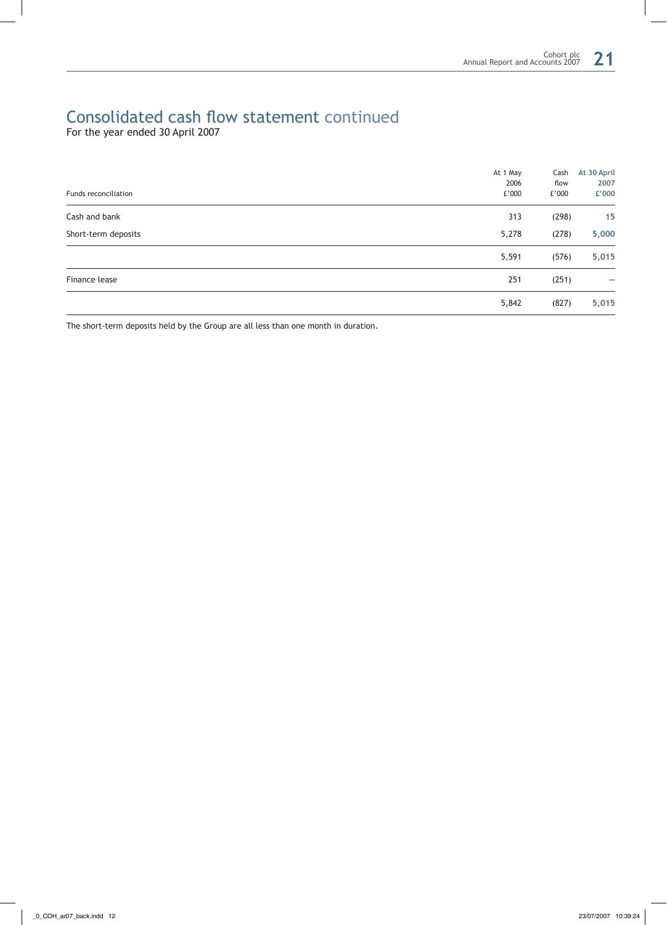## Consolidated cash flow statement continued

For the year ended 30 April 2007

| Funds reconciliation | At 1 May<br>2006<br>£'000 | Cash<br>flow<br>£'000 | At 30 April<br>2007<br>£'000 |
|----------------------|---------------------------|-----------------------|------------------------------|
| Cash and bank        | 313                       | (298)                 | 15                           |
| Short-term deposits  | 5,278                     | (278)                 | 5,000                        |
|                      | 5,591                     | (576)                 | 5,015                        |
| Finance lease        | 251                       | (251)                 | -                            |
|                      | 5,842                     | (827)                 | 5,015                        |

The short-term deposits held by the Group are all less than one month in duration.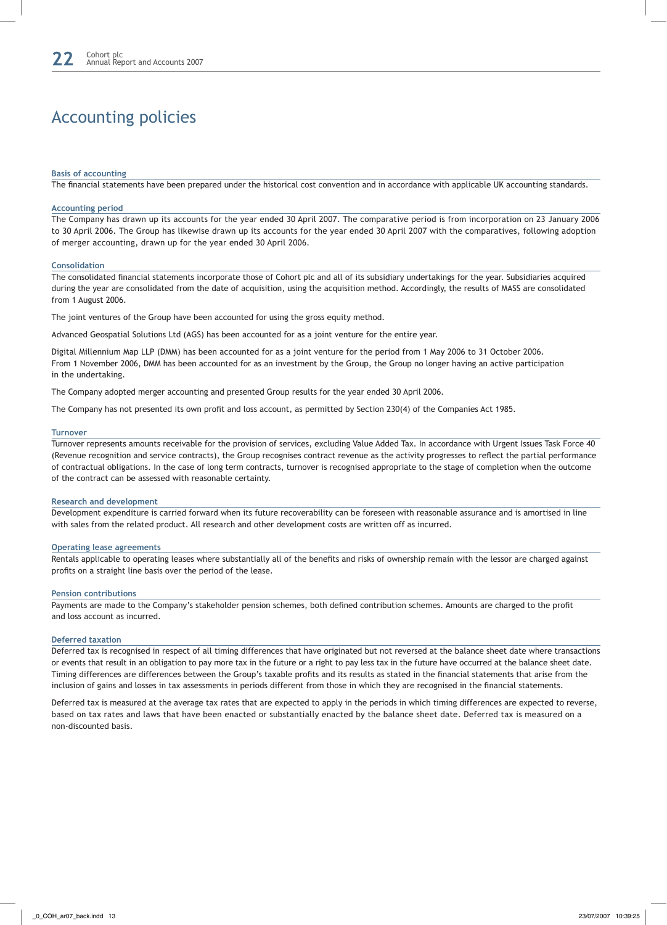## Accounting policies

### **Basis of accounting**

The financial statements have been prepared under the historical cost convention and in accordance with applicable UK accounting standards.

### **Accounting period**

The Company has drawn up its accounts for the year ended 30 April 2007. The comparative period is from incorporation on 23 January 2006 to 30 April 2006. The Group has likewise drawn up its accounts for the year ended 30 April 2007 with the comparatives, following adoption of merger accounting, drawn up for the year ended 30 April 2006.

### **Consolidation**

The consolidated financial statements incorporate those of Cohort plc and all of its subsidiary undertakings for the year. Subsidiaries acquired during the year are consolidated from the date of acquisition, using the acquisition method. Accordingly, the results of MASS are consolidated from 1 August 2006.

The joint ventures of the Group have been accounted for using the gross equity method.

Advanced Geospatial Solutions Ltd (AGS) has been accounted for as a joint venture for the entire year.

Digital Millennium Map LLP (DMM) has been accounted for as a joint venture for the period from 1 May 2006 to 31 October 2006. From 1 November 2006, DMM has been accounted for as an investment by the Group, the Group no longer having an active participation in the undertaking.

The Company adopted merger accounting and presented Group results for the year ended 30 April 2006.

The Company has not presented its own profit and loss account, as permitted by Section 230(4) of the Companies Act 1985.

#### **Turnover**

Turnover represents amounts receivable for the provision of services, excluding Value Added Tax. In accordance with Urgent Issues Task Force 40 (Revenue recognition and service contracts), the Group recognises contract revenue as the activity progresses to reflect the partial performance of contractual obligations. In the case of long term contracts, turnover is recognised appropriate to the stage of completion when the outcome of the contract can be assessed with reasonable certainty.

### **Research and development**

Development expenditure is carried forward when its future recoverability can be foreseen with reasonable assurance and is amortised in line with sales from the related product. All research and other development costs are written off as incurred.

#### **Operating lease agreements**

Rentals applicable to operating leases where substantially all of the benefits and risks of ownership remain with the lessor are charged against profits on a straight line basis over the period of the lease.

#### **Pension contributions**

Payments are made to the Company's stakeholder pension schemes, both defined contribution schemes. Amounts are charged to the profit and loss account as incurred.

### **Deferred taxation**

Deferred tax is recognised in respect of all timing differences that have originated but not reversed at the balance sheet date where transactions or events that result in an obligation to pay more tax in the future or a right to pay less tax in the future have occurred at the balance sheet date. Timing differences are differences between the Group's taxable profits and its results as stated in the financial statements that arise from the inclusion of gains and losses in tax assessments in periods different from those in which they are recognised in the financial statements.

Deferred tax is measured at the average tax rates that are expected to apply in the periods in which timing differences are expected to reverse, based on tax rates and laws that have been enacted or substantially enacted by the balance sheet date. Deferred tax is measured on a non-discounted basis.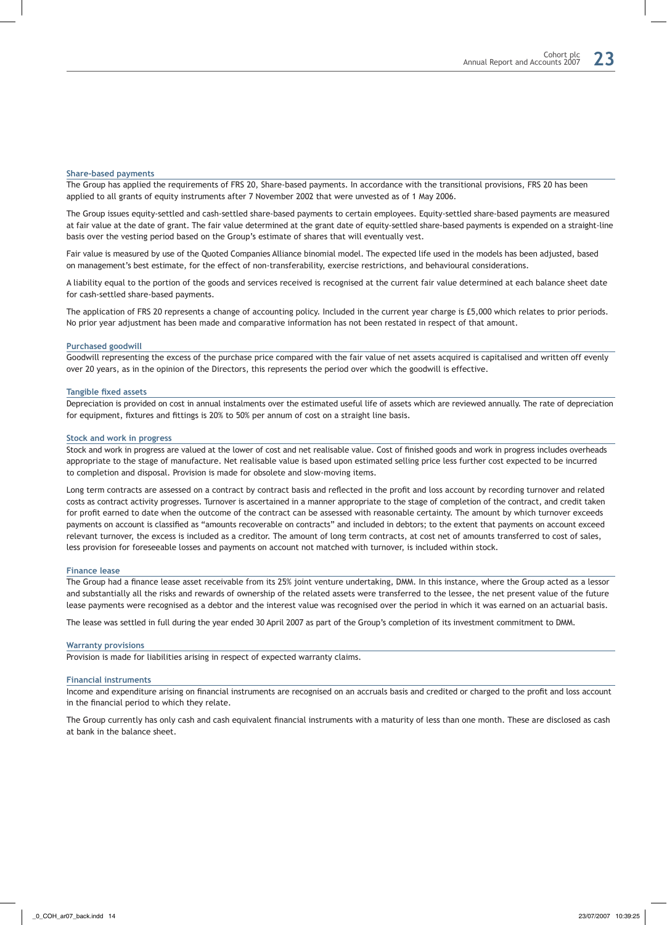### **Share-based payments**

The Group has applied the requirements of FRS 20, Share-based payments. In accordance with the transitional provisions, FRS 20 has been applied to all grants of equity instruments after 7 November 2002 that were unvested as of 1 May 2006.

The Group issues equity-settled and cash-settled share-based payments to certain employees. Equity-settled share-based payments are measured at fair value at the date of grant. The fair value determined at the grant date of equity-settled share-based payments is expended on a straight-line basis over the vesting period based on the Group's estimate of shares that will eventually vest.

Fair value is measured by use of the Quoted Companies Alliance binomial model. The expected life used in the models has been adjusted, based on management's best estimate, for the effect of non-transferability, exercise restrictions, and behavioural considerations.

A liability equal to the portion of the goods and services received is recognised at the current fair value determined at each balance sheet date for cash-settled share-based payments.

The application of FRS 20 represents a change of accounting policy. Included in the current year charge is £5,000 which relates to prior periods. No prior year adjustment has been made and comparative information has not been restated in respect of that amount.

### **Purchased goodwill**

Goodwill representing the excess of the purchase price compared with the fair value of net assets acquired is capitalised and written off evenly over 20 years, as in the opinion of the Directors, this represents the period over which the goodwill is effective.

### **Tangible fixed assets**

Depreciation is provided on cost in annual instalments over the estimated useful life of assets which are reviewed annually. The rate of depreciation for equipment, fixtures and fittings is 20% to 50% per annum of cost on a straight line basis.

### **Stock and work in progress**

Stock and work in progress are valued at the lower of cost and net realisable value. Cost of finished goods and work in progress includes overheads appropriate to the stage of manufacture. Net realisable value is based upon estimated selling price less further cost expected to be incurred to completion and disposal. Provision is made for obsolete and slow-moving items.

Long term contracts are assessed on a contract by contract basis and reflected in the profit and loss account by recording turnover and related costs as contract activity progresses. Turnover is ascertained in a manner appropriate to the stage of completion of the contract, and credit taken for profit earned to date when the outcome of the contract can be assessed with reasonable certainty. The amount by which turnover exceeds payments on account is classified as "amounts recoverable on contracts" and included in debtors; to the extent that payments on account exceed relevant turnover, the excess is included as a creditor. The amount of long term contracts, at cost net of amounts transferred to cost of sales, less provision for foreseeable losses and payments on account not matched with turnover, is included within stock.

### **Finance lease**

The Group had a finance lease asset receivable from its 25% joint venture undertaking, DMM. In this instance, where the Group acted as a lessor and substantially all the risks and rewards of ownership of the related assets were transferred to the lessee, the net present value of the future lease payments were recognised as a debtor and the interest value was recognised over the period in which it was earned on an actuarial basis.

The lease was settled in full during the year ended 30 April 2007 as part of the Group's completion of its investment commitment to DMM.

### **Warranty provisions**

Provision is made for liabilities arising in respect of expected warranty claims.

### **Financial instruments**

Income and expenditure arising on financial instruments are recognised on an accruals basis and credited or charged to the profit and loss account in the financial period to which they relate.

The Group currently has only cash and cash equivalent financial instruments with a maturity of less than one month. These are disclosed as cash at bank in the balance sheet.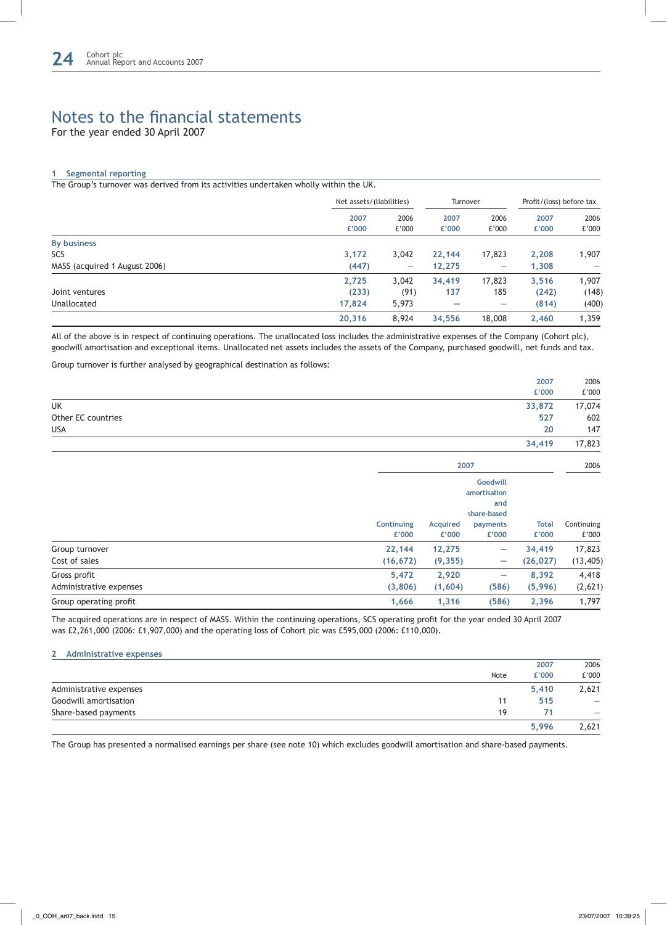## Notes to the financial statements

For the year ended 30 April 2007

### **1 Segmental reporting**

The Group's turnover was derived from its activities undertaken wholly within the UK.

|                               |        | Net assets/(liabilities) |        | Turnover |       | Profit/(loss) before tax |      |      |
|-------------------------------|--------|--------------------------|--------|----------|-------|--------------------------|------|------|
|                               | 2007   | 2006<br>£'000<br>£'000   |        |          | 2007  | 2006                     | 2007 | 2006 |
|                               |        |                          | £'000  | £'000    | £'000 | £'000                    |      |      |
| By business                   |        |                          |        |          |       |                          |      |      |
| <b>SCS</b>                    | 3,172  | 3,042                    | 22.144 | 17,823   | 2,208 | 1,907                    |      |      |
| MASS (acquired 1 August 2006) | (447)  | $\qquad \qquad -$        | 12,275 | –        | 1,308 |                          |      |      |
|                               | 2,725  | 3,042                    | 34,419 | 17,823   | 3,516 | 1,907                    |      |      |
| Joint ventures                | (233)  | (91)                     | 137    | 185      | (242) | (148)                    |      |      |
| Unallocated                   | 17,824 | 5,973                    |        | -        | (814) | (400)                    |      |      |
|                               | 20,316 | 8,924                    | 34,556 | 18,008   | 2,460 | 1,359                    |      |      |

All of the above is in respect of continuing operations. The unallocated loss includes the administrative expenses of the Company (Cohort plc), goodwill amortisation and exceptional items. Unallocated net assets includes the assets of the Company, purchased goodwill, net funds and tax.

Group turnover is further analysed by geographical destination as follows:

|                         | 2007                                                             | 2006       |
|-------------------------|------------------------------------------------------------------|------------|
|                         | £'000                                                            | £'000      |
| UK                      | 33,872                                                           | 17,074     |
| Other EC countries      | 527                                                              | 602        |
| <b>USA</b>              | 20                                                               | 147        |
|                         | 34,419                                                           | 17,823     |
|                         | 2007                                                             | 2006       |
|                         | Goodwill                                                         |            |
|                         | amortisation                                                     |            |
|                         | and                                                              |            |
|                         | share-based                                                      |            |
|                         | <b>Continuing</b><br><b>Acquired</b><br><b>Total</b><br>payments | Continuing |
|                         | £'000<br>£'000<br>£'000<br>£'000                                 | £'000      |
| Group turnover          | 22,144<br>12,275<br>34,419<br>-                                  | 17,823     |
| Cost of sales           | (16, 672)<br>(9, 355)<br>(26, 027)<br>-                          | (13, 405)  |
| Gross profit            | 8,392<br>5,472<br>2,920<br>-                                     | 4,418      |
| Administrative expenses | (586)<br>(3,806)<br>(1,604)<br>(5,996)                           | (2,621)    |
| Group operating profit  | (586)<br>2,396<br>1,666<br>1,316                                 | 1,797      |

The acquired operations are in respect of MASS. Within the continuing operations, SCS operating profit for the year ended 30 April 2007 was £2,261,000 (2006: £1,907,000) and the operating loss of Cohort plc was £595,000 (2006: £110,000).

### **2 Administrative expenses**

|                         |      | 2007  | 2006                            |
|-------------------------|------|-------|---------------------------------|
|                         | Note | £'000 | £'000                           |
| Administrative expenses |      | 5,410 | 2,621                           |
| Goodwill amortisation   |      | 515   | $\hspace{0.1mm}-\hspace{0.1mm}$ |
| Share-based payments    | 19   | 71    | $\qquad \qquad -$               |
|                         |      | 5.996 | 2,621                           |

The Group has presented a normalised earnings per share (see note 10) which excludes goodwill amortisation and share-based payments.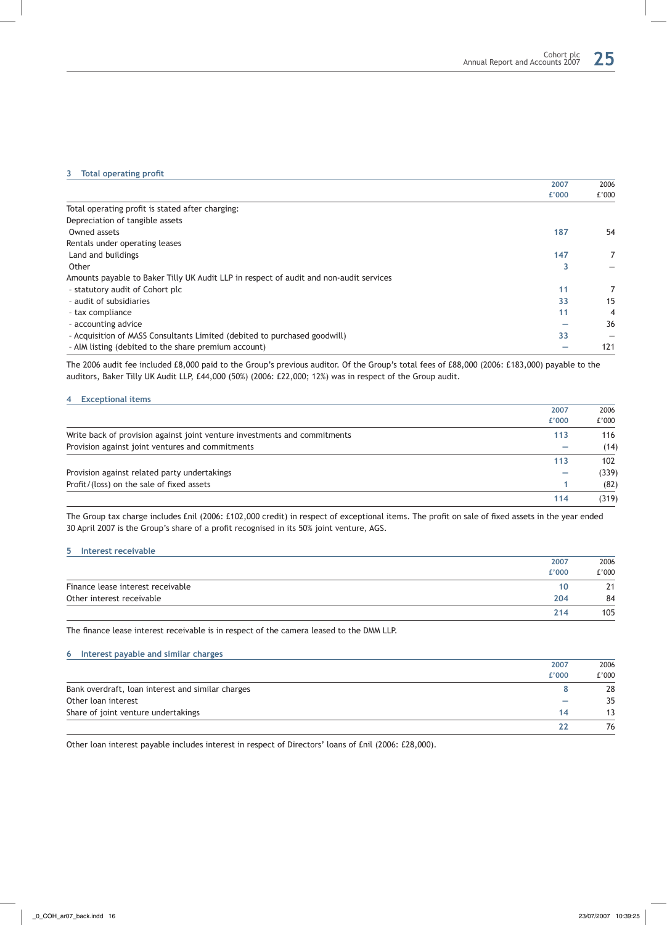**113** 102

**114** (319)

### **3 Total operating profit**

|                                                                                        | 2007  | 2006           |
|----------------------------------------------------------------------------------------|-------|----------------|
|                                                                                        | £'000 | £'000          |
| Total operating profit is stated after charging:                                       |       |                |
| Depreciation of tangible assets                                                        |       |                |
| Owned assets                                                                           | 187   | 54             |
| Rentals under operating leases                                                         |       |                |
| Land and buildings                                                                     | 147   | 7              |
| Other                                                                                  |       |                |
| Amounts payable to Baker Tilly UK Audit LLP in respect of audit and non-audit services |       |                |
| - statutory audit of Cohort plc                                                        | 11    | 7              |
| - audit of subsidiaries                                                                | 33    | 15             |
| - tax compliance                                                                       | 11    | $\overline{4}$ |
| - accounting advice                                                                    |       | 36             |
| - Acquisition of MASS Consultants Limited (debited to purchased goodwill)              | 33    |                |
| - AIM listing (debited to the share premium account)                                   |       | 121            |

The 2006 audit fee included £8,000 paid to the Group's previous auditor. Of the Group's total fees of £88,000 (2006: £183,000) payable to the auditors, Baker Tilly UK Audit LLP, £44,000 (50%) (2006: £22,000; 12%) was in respect of the Group audit.

### **4 Exceptional items 2007** 2006 **£'000** £'000 Write back of provision against joint venture investments and commitments **116** 116 Provision against joint ventures and commitments **—** (14) Provision against related party undertakings **—** (339) Profit/(loss) on the sale of fixed assets **1** (82)

The Group tax charge includes £nil (2006: £102,000 credit) in respect of exceptional items. The profit on sale of fixed assets in the year ended 30 April 2007 is the Group's share of a profit recognised in its 50% joint venture, AGS.

### **5 Interest receivable**

|                                   | 2007  | 2006  |
|-----------------------------------|-------|-------|
|                                   | £'000 | £'000 |
| Finance lease interest receivable | 10    |       |
| Other interest receivable         | 204   | 84    |
|                                   | 214   | 105   |

The finance lease interest receivable is in respect of the camera leased to the DMM LLP.

### **6 Interest payable and similar charges**

|                                                   | 22    | 76    |
|---------------------------------------------------|-------|-------|
| Share of joint venture undertakings               | 14    | 13    |
| Other loan interest                               |       | 35    |
| Bank overdraft, loan interest and similar charges |       | 28    |
|                                                   | £'000 | £'000 |
|                                                   | 2007  | 2006  |

Other loan interest payable includes interest in respect of Directors' loans of £nil (2006: £28,000).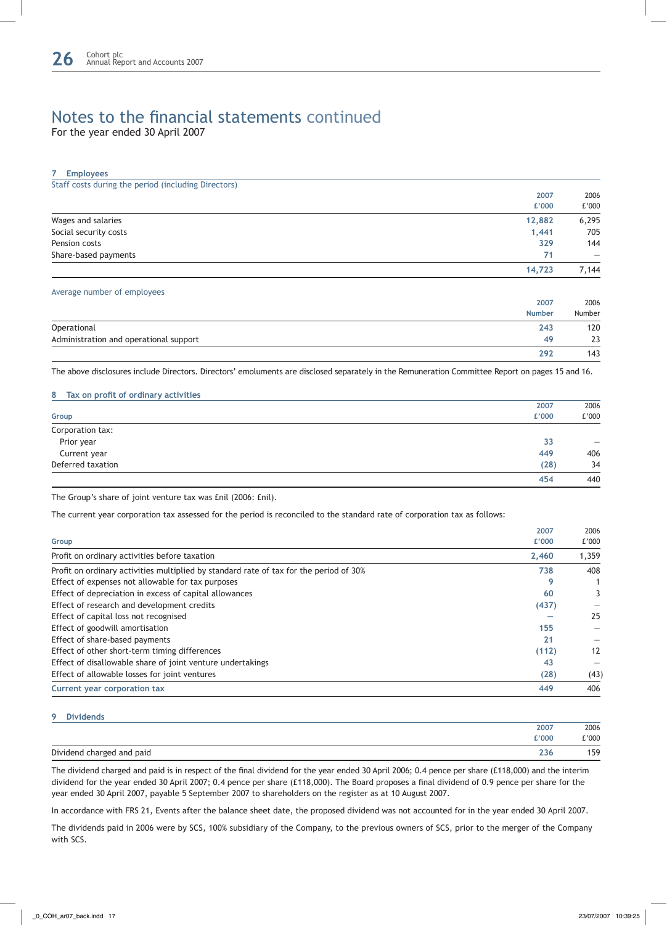## Notes to the financial statements continued

For the year ended 30 April 2007

**7 Employees**

| Staff costs during the period (including Directors) |        |       |
|-----------------------------------------------------|--------|-------|
|                                                     | 2007   | 2006  |
|                                                     | £'000  | £'000 |
| Wages and salaries                                  | 12,882 | 6,295 |
| Social security costs                               | 1.441  | 705   |
| Pension costs                                       | 329    | 144   |
| Share-based payments                                | 71     |       |
|                                                     | 14.723 | 7.144 |

### Average number of employees

|                                        | 2007          | 2006   |
|----------------------------------------|---------------|--------|
|                                        | <b>Number</b> | Number |
| Operational                            | 243           | 120    |
| Administration and operational support | -49           | 23     |
|                                        | 292           | 143    |

The above disclosures include Directors. Directors' emoluments are disclosed separately in the Remuneration Committee Report on pages 15 and 16.

### **8 Tax on profit of ordinary activities**

|                   | 2007  | 2006                     |
|-------------------|-------|--------------------------|
| Group             | £'000 | £'000                    |
| Corporation tax:  |       |                          |
| Prior year        | 33    | $\overline{\phantom{m}}$ |
| Current year      | 449   | 406                      |
| Deferred taxation | (28)  | 34                       |
|                   | 454   | 440                      |

The Group's share of joint venture tax was £nil (2006: £nil).

The current year corporation tax assessed for the period is reconciled to the standard rate of corporation tax as follows:

|                                                                                        | 2007  | 2006  |
|----------------------------------------------------------------------------------------|-------|-------|
| Group                                                                                  | £'000 | £'000 |
| Profit on ordinary activities before taxation                                          | 2,460 | 1,359 |
| Profit on ordinary activities multiplied by standard rate of tax for the period of 30% | 738   | 408   |
| Effect of expenses not allowable for tax purposes                                      | 9     |       |
| Effect of depreciation in excess of capital allowances                                 | 60    | 3     |
| Effect of research and development credits                                             | (437) |       |
| Effect of capital loss not recognised                                                  |       | 25    |
| Effect of goodwill amortisation                                                        | 155   |       |
| Effect of share-based payments                                                         | 21    |       |
| Effect of other short-term timing differences                                          | (112) | 12    |
| Effect of disallowable share of joint venture undertakings                             | 43    |       |
| Effect of allowable losses for joint ventures                                          | (28)  | (43)  |
| Current year corporation tax                                                           | 449   | 406   |

### **9 Dividends**

|                           | 2007  | 2006  |
|---------------------------|-------|-------|
|                           | £'000 | £'000 |
| Dividend charged and paid | 236   | 159   |

The dividend charged and paid is in respect of the final dividend for the year ended 30 April 2006; 0.4 pence per share (£118,000) and the interim dividend for the year ended 30 April 2007; 0.4 pence per share (£118,000). The Board proposes a final dividend of 0.9 pence per share for the year ended 30 April 2007, payable 5 September 2007 to shareholders on the register as at 10 August 2007.

In accordance with FRS 21, Events after the balance sheet date, the proposed dividend was not accounted for in the year ended 30 April 2007.

The dividends paid in 2006 were by SCS, 100% subsidiary of the Company, to the previous owners of SCS, prior to the merger of the Company with SCS.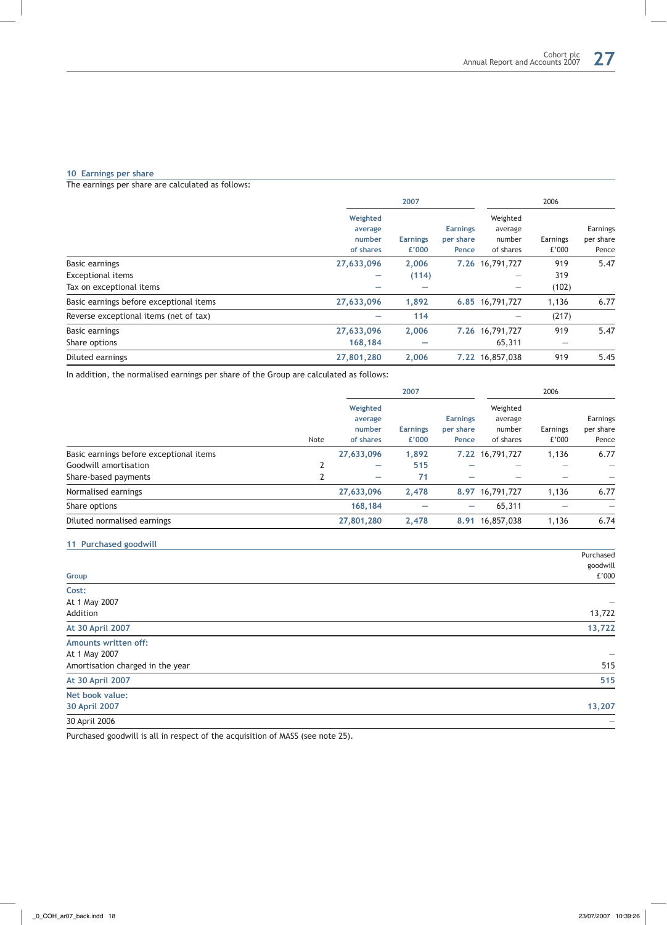### **10 Earnings per share**

The earnings per share are calculated as follows:

|                                         | 2007                                       |                          |                                       | 2006                                       |                   |                                |
|-----------------------------------------|--------------------------------------------|--------------------------|---------------------------------------|--------------------------------------------|-------------------|--------------------------------|
|                                         | Weighted<br>average<br>number<br>of shares | <b>Earnings</b><br>£'000 | <b>Earnings</b><br>per share<br>Pence | Weighted<br>average<br>number<br>of shares | Earnings<br>£'000 | Earnings<br>per share<br>Pence |
| <b>Basic earnings</b>                   | 27,633,096                                 | 2,006                    |                                       | 7.26 16,791,727                            | 919               | 5.47                           |
| <b>Exceptional items</b>                |                                            | (114)                    |                                       |                                            | 319               |                                |
| Tax on exceptional items                |                                            |                          |                                       |                                            | (102)             |                                |
| Basic earnings before exceptional items | 27,633,096                                 | 1,892                    |                                       | 6.85 16,791,727                            | 1,136             | 6.77                           |
| Reverse exceptional items (net of tax)  | -                                          | 114                      |                                       |                                            | (217)             |                                |
| <b>Basic earnings</b>                   | 27,633,096                                 | 2,006                    |                                       | 7.26 16,791,727                            | 919               | 5.47                           |
| Share options                           | 168,184                                    |                          |                                       | 65,311                                     |                   |                                |
| Diluted earnings                        | 27,801,280                                 | 2,006                    |                                       | 7.22 16,857,038                            | 919               | 5.45                           |

In addition, the normalised earnings per share of the Group are calculated as follows:

|                                         |      | 2007                                       |                          | 2006                                  |                                            |                   |                                |
|-----------------------------------------|------|--------------------------------------------|--------------------------|---------------------------------------|--------------------------------------------|-------------------|--------------------------------|
|                                         | Note | Weighted<br>average<br>number<br>of shares | <b>Earnings</b><br>£'000 | <b>Earnings</b><br>per share<br>Pence | Weighted<br>average<br>number<br>of shares | Earnings<br>£'000 | Earnings<br>per share<br>Pence |
| Basic earnings before exceptional items |      | 27,633,096                                 | 1.892                    |                                       | 7.22 16,791,727                            | 1,136             | 6.77                           |
| Goodwill amortisation                   |      | -                                          | 515                      |                                       |                                            |                   |                                |
| Share-based payments                    |      |                                            | 71                       | -                                     |                                            |                   |                                |
| Normalised earnings                     |      | 27,633,096                                 | 2,478                    |                                       | 8.97 16,791,727                            | 1,136             | 6.77                           |
| Share options                           |      | 168,184                                    |                          |                                       | 65,311                                     |                   |                                |
| Diluted normalised earnings             |      | 27,801,280                                 | 2,478                    |                                       | 8.91 16,857,038                            | 1,136             | 6.74                           |

### **11 Purchased goodwill**

|                                  | Purchased |
|----------------------------------|-----------|
|                                  | goodwill  |
| Group                            | £'000     |
| Cost:                            |           |
| At 1 May 2007                    | -         |
| Addition                         | 13,722    |
| At 30 April 2007                 | 13,722    |
| Amounts written off:             |           |
| At 1 May 2007                    |           |
| Amortisation charged in the year | 515       |
| At 30 April 2007                 | 515       |
| Net book value:                  |           |
| 30 April 2007                    | 13,207    |
| 30 April 2006                    |           |
|                                  |           |

Purchased goodwill is all in respect of the acquisition of MASS (see note 25).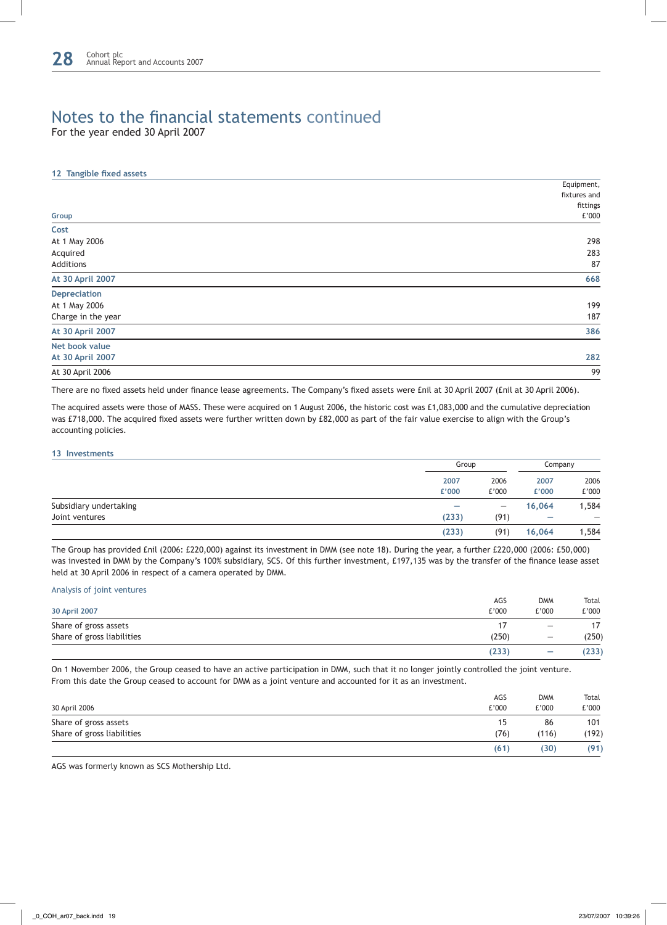## Notes to the financial statements continued

For the year ended 30 April 2007

|                     | Equipment,   |
|---------------------|--------------|
|                     | fixtures and |
|                     | fittings     |
| Group               | £'000        |
| Cost                |              |
| At 1 May 2006       | 298          |
| Acquired            | 283          |
| Additions           | 87           |
| At 30 April 2007    | 668          |
| <b>Depreciation</b> |              |
| At 1 May 2006       | 199          |
| Charge in the year  | 187          |
| At 30 April 2007    | 386          |
| Net book value      |              |
| At 30 April 2007    | 282          |
| At 30 April 2006    | 99           |
|                     |              |

There are no fixed assets held under finance lease agreements. The Company's fixed assets were £nil at 30 April 2007 (£nil at 30 April 2006).

The acquired assets were those of MASS. These were acquired on 1 August 2006, the historic cost was £1,083,000 and the cumulative depreciation was £718,000. The acquired fixed assets were further written down by £82,000 as part of the fair value exercise to align with the Group's accounting policies.

### **13 Investments**

|                        |       | Group |                          | Company       |
|------------------------|-------|-------|--------------------------|---------------|
|                        | 2007  | 2006  | 2007<br>£'000            | 2006<br>£'000 |
|                        | £'000 | £'000 |                          |               |
| Subsidiary undertaking |       | -     | 16,064                   | 1,584         |
| Joint ventures         | (233) | (91)  | $\overline{\phantom{a}}$ |               |
|                        | (233) | (91)  | 16,064                   | 1,584         |

The Group has provided £nil (2006: £220,000) against its investment in DMM (see note 18). During the year, a further £220,000 (2006: £50,000) was invested in DMM by the Company's 100% subsidiary, SCS. Of this further investment, £197,135 was by the transfer of the finance lease asset held at 30 April 2006 in respect of a camera operated by DMM.

| Analysis of joint ventures |       |                          |       |
|----------------------------|-------|--------------------------|-------|
|                            | AGS   | <b>DMM</b>               | Total |
| 30 April 2007              | £'000 | £'000                    | £'000 |
| Share of gross assets      |       | $\overline{\phantom{0}}$ | 17    |
| Share of gross liabilities | (250) | $\overline{\phantom{m}}$ | (250) |
|                            | (233) | $\overline{\phantom{0}}$ | (233) |

On 1 November 2006, the Group ceased to have an active participation in DMM, such that it no longer jointly controlled the joint venture. From this date the Group ceased to account for DMM as a joint venture and accounted for it as an investment.

|                            | AGS   | <b>DMM</b> | Total |
|----------------------------|-------|------------|-------|
| 30 April 2006              | £'000 | £'000      | £'000 |
| Share of gross assets      | 15    | 86         | 101   |
| Share of gross liabilities | (76)  | (116)      | (192) |
|                            | (61)  | (30)       | (91)  |

AGS was formerly known as SCS Mothership Ltd.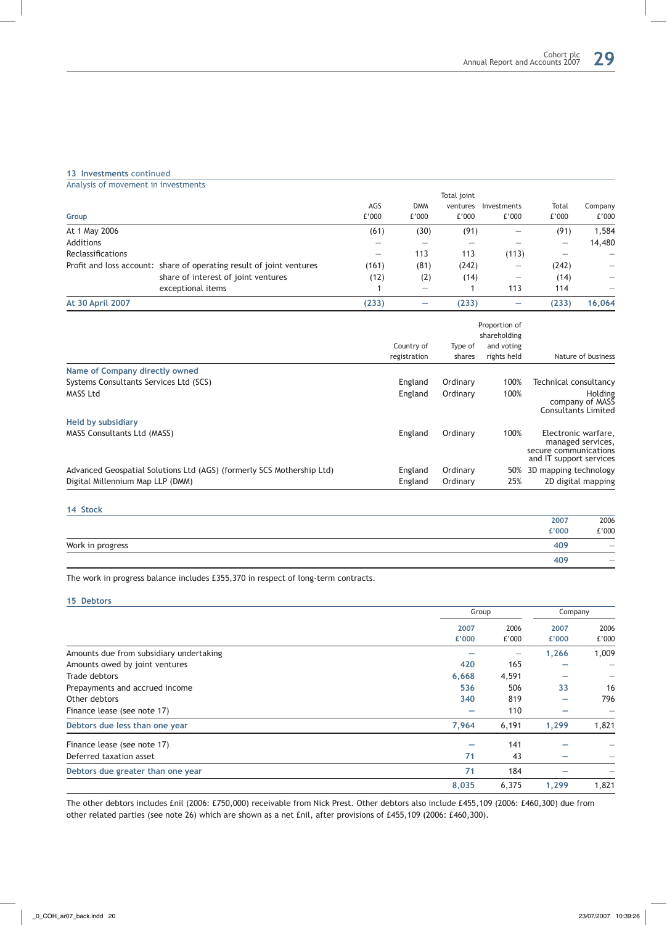### **13 Investments continued**

| Analysis of movement in investments |                                                                      |                          |            |          |                          |                   |         |
|-------------------------------------|----------------------------------------------------------------------|--------------------------|------------|----------|--------------------------|-------------------|---------|
|                                     |                                                                      | Total joint              |            |          |                          |                   |         |
|                                     |                                                                      | AGS                      | <b>DMM</b> | ventures | Investments              | Total<br>£'000    | Company |
| Group                               |                                                                      | £'000                    | £'000      | £'000    | £'000                    |                   | £'000   |
| At 1 May 2006                       |                                                                      | (61)                     | (30)       | (91)     | -                        | (91)              | 1,584   |
| Additions                           |                                                                      | -                        |            |          |                          | $\qquad \qquad -$ | 14,480  |
| Reclassifications                   |                                                                      | $\overline{\phantom{0}}$ | 113        | 113      | (113)                    |                   |         |
|                                     | Profit and loss account: share of operating result of joint ventures | (161)                    | (81)       | (242)    | $\overline{\phantom{0}}$ | (242)             |         |
|                                     | share of interest of joint ventures                                  | (12)                     | (2)        | (14)     | –                        | (14)              |         |
|                                     | exceptional items                                                    |                          |            |          | 113                      | 114               |         |
| At 30 April 2007                    |                                                                      | (233)                    |            | (233)    |                          | (233)             | 16,064  |
|                                     |                                                                      |                          |            |          | Proportion of            |                   |         |

|                                                                       |              |          | shareholding |                                                                                              |
|-----------------------------------------------------------------------|--------------|----------|--------------|----------------------------------------------------------------------------------------------|
|                                                                       | Country of   | Type of  | and voting   |                                                                                              |
|                                                                       | registration | shares   | rights held  | Nature of business                                                                           |
| Name of Company directly owned                                        |              |          |              |                                                                                              |
| Systems Consultants Services Ltd (SCS)                                | England      | Ordinary | 100%         | Technical consultancy                                                                        |
| MASS Ltd                                                              | England      | Ordinary | 100%         | Holding<br>company of MASS<br><b>Consultants Limited</b>                                     |
| Held by subsidiary                                                    |              |          |              |                                                                                              |
| <b>MASS Consultants Ltd (MASS)</b>                                    | England      | Ordinary | 100%         | Electronic warfare,<br>managed services,<br>secure communications<br>and IT support services |
| Advanced Geospatial Solutions Ltd (AGS) (formerly SCS Mothership Ltd) | England      | Ordinary | 50%          | 3D mapping technology                                                                        |
| Digital Millennium Map LLP (DMM)                                      | England      | Ordinary | 25%          | 2D digital mapping                                                                           |

### **14 Stock**

|                  | 2007  | 2006                            |
|------------------|-------|---------------------------------|
|                  | £'000 | £'000                           |
| Work in progress | 409   | $\overline{\phantom{0}}$        |
|                  | 409   | $\hspace{0.1mm}-\hspace{0.1mm}$ |

The work in progress balance includes £355,370 in respect of long-term contracts.

### **15 Debtors**

|                                         |       | Group |       | Company |  |
|-----------------------------------------|-------|-------|-------|---------|--|
|                                         | 2007  | 2006  | 2007  | 2006    |  |
|                                         | £'000 | £'000 | £'000 | £'000   |  |
| Amounts due from subsidiary undertaking |       |       | 1,266 | 1,009   |  |
| Amounts owed by joint ventures          | 420   | 165   |       |         |  |
| Trade debtors                           | 6,668 | 4,591 |       |         |  |
| Prepayments and accrued income          | 536   | 506   | 33    | 16      |  |
| Other debtors                           | 340   | 819   |       | 796     |  |
| Finance lease (see note 17)             |       | 110   |       |         |  |
| Debtors due less than one year          | 7,964 | 6,191 | 1,299 | 1,821   |  |
| Finance lease (see note 17)             |       | 141   |       |         |  |
| Deferred taxation asset                 | 71    | 43    |       |         |  |
| Debtors due greater than one year       | 71    | 184   |       |         |  |
|                                         | 8,035 | 6,375 | 1,299 | 1,821   |  |

The other debtors includes £nil (2006: £750,000) receivable from Nick Prest. Other debtors also include £455,109 (2006: £460,300) due from other related parties (see note 26) which are shown as a net £nil, after provisions of £455,109 (2006: £460,300).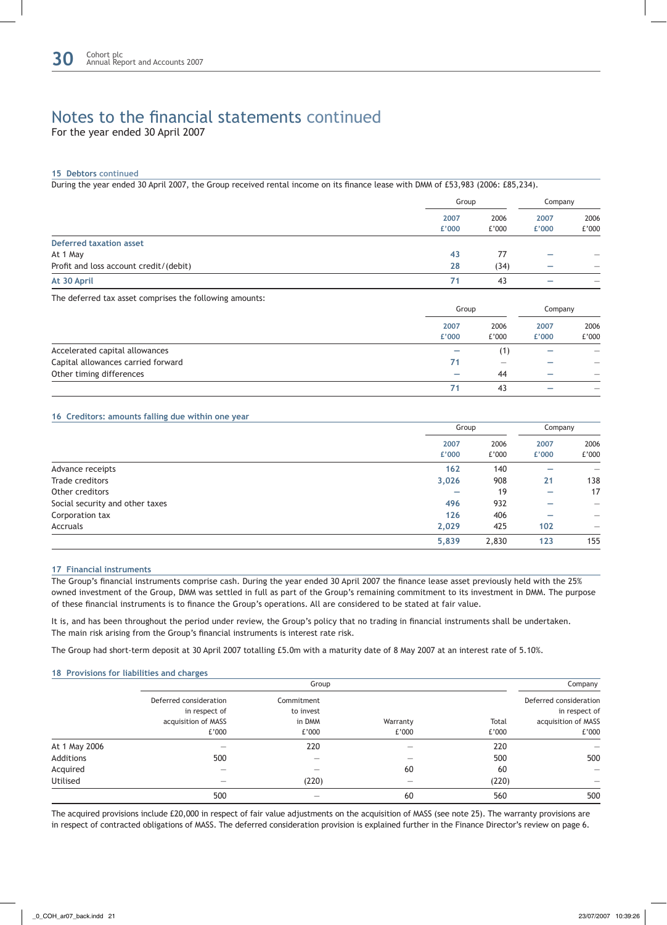## Notes to the financial statements continued

For the year ended 30 April 2007

### **15 Debtors continued**

During the year ended 30 April 2007, the Group received rental income on its finance lease with DMM of £53,983 (2006: £85,234).

Other timing differences **—** 44 **—** —

|                                                         |       | Group |               | Company |
|---------------------------------------------------------|-------|-------|---------------|---------|
|                                                         | 2007  | 2006  | 2007<br>£'000 | 2006    |
|                                                         | £'000 | £'000 |               | E'000   |
| <b>Deferred taxation asset</b>                          |       |       |               |         |
| At 1 May                                                | 43    | 77    |               |         |
| Profit and loss account credit/(debit)                  | 28    | (34)  |               |         |
| At 30 April                                             | 71    | 43    |               |         |
| The deferred tax asset comprises the following amounts: |       |       |               |         |
|                                                         | Group |       | Company       |         |
|                                                         | 2007  | 2006  | 2007          | 2006    |
|                                                         | £'000 | £'000 | £'000         | E'000   |
| Accelerated capital allowances                          |       | (1)   |               |         |
| Capital allowances carried forward                      | 71    |       |               | -       |

### **16 Creditors: amounts falling due within one year**

|                                     |               | Group         |                          | Company       |
|-------------------------------------|---------------|---------------|--------------------------|---------------|
|                                     | 2007<br>£'000 | 2006<br>£'000 | 2007<br>£'000            | 2006<br>£'000 |
|                                     |               |               |                          |               |
| Advance receipts<br>Trade creditors | 162<br>3,026  | 140<br>908    | 21                       | 138           |
| Other creditors                     |               | 19            | $\overline{\phantom{0}}$ | 17            |
| Social security and other taxes     | 496           | 932           |                          | —             |
| Corporation tax                     | 126           | 406           |                          |               |
| Accruals                            | 2,029         | 425           | 102                      | -             |
|                                     | 5,839         | 2,830         | 123                      | 155           |

**71** 43 **—** —

### **17 Financial instruments**

The Group's financial instruments comprise cash. During the year ended 30 April 2007 the finance lease asset previously held with the 25% owned investment of the Group, DMM was settled in full as part of the Group's remaining commitment to its investment in DMM. The purpose of these financial instruments is to finance the Group's operations. All are considered to be stated at fair value.

It is, and has been throughout the period under review, the Group's policy that no trading in financial instruments shall be undertaken. The main risk arising from the Group's financial instruments is interest rate risk.

The Group had short-term deposit at 30 April 2007 totalling £5.0m with a maturity date of 8 May 2007 at an interest rate of 5.10%.

### **18 Provisions for liabilities and charges**

|               | -                        | Group      |          |       | Company                |
|---------------|--------------------------|------------|----------|-------|------------------------|
|               | Deferred consideration   | Commitment |          |       | Deferred consideration |
|               | in respect of            | to invest  |          |       | in respect of          |
|               | acquisition of MASS      | in DMM     | Warranty | Total | acquisition of MASS    |
|               | £'000                    | £'000      | £'000    | £'000 | £'000                  |
| At 1 May 2006 |                          | 220        |          | 220   |                        |
| Additions     | 500                      |            |          | 500   | 500                    |
| Acquired      | $\overline{\phantom{a}}$ | -          | 60       | 60    | $\qquad \qquad$        |
| Utilised      |                          | (220)      |          | (220) |                        |
|               | 500                      |            | 60       | 560   | 500                    |

The acquired provisions include £20,000 in respect of fair value adjustments on the acquisition of MASS (see note 25). The warranty provisions are in respect of contracted obligations of MASS. The deferred consideration provision is explained further in the Finance Director's review on page 6.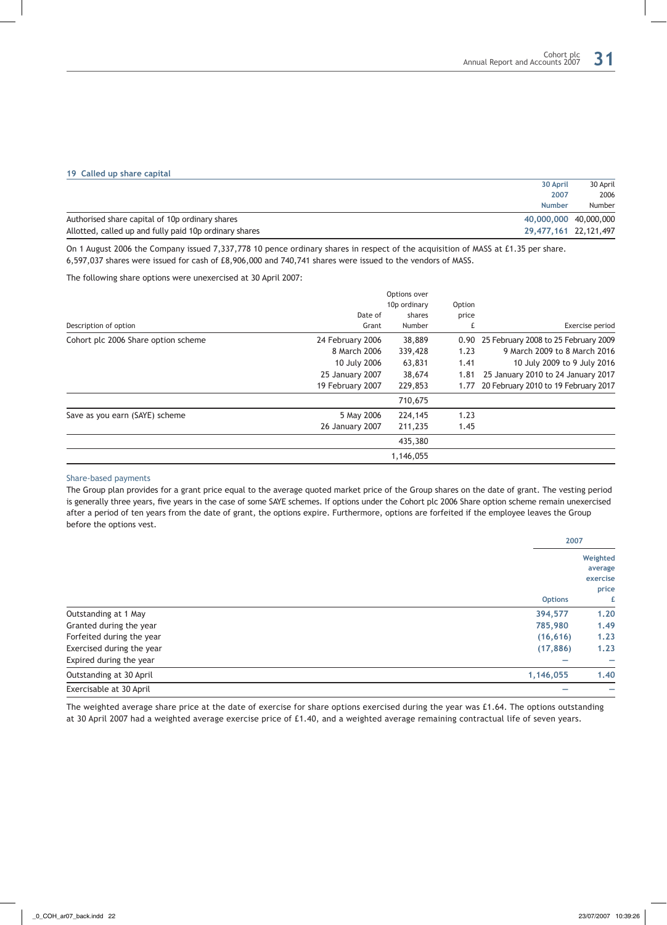### **19 Called up share capital**

| 30 April                                               | 30 April              |
|--------------------------------------------------------|-----------------------|
| 2007                                                   | 2006                  |
| <b>Number</b>                                          | Number                |
| Authorised share capital of 10p ordinary shares        | 40,000,000 40,000,000 |
| Allotted, called up and fully paid 10p ordinary shares | 29,477,161 22,121,497 |

On 1 August 2006 the Company issued 7,337,778 10 pence ordinary shares in respect of the acquisition of MASS at £1.35 per share. 6,597,037 shares were issued for cash of £8,906,000 and 740,741 shares were issued to the vendors of MASS.

The following share options were unexercised at 30 April 2007:

|                                     |                  | Options over |        |                                      |
|-------------------------------------|------------------|--------------|--------|--------------------------------------|
|                                     |                  | 10p ordinary | Option |                                      |
|                                     | Date of          | shares       | price  |                                      |
| Description of option               | Grant            | Number       | £      | Exercise period                      |
| Cohort plc 2006 Share option scheme | 24 February 2006 | 38,889       | 0.90   | 25 February 2008 to 25 February 2009 |
|                                     | 8 March 2006     | 339,428      | 1.23   | 9 March 2009 to 8 March 2016         |
|                                     | 10 July 2006     | 63,831       | 1.41   | 10 July 2009 to 9 July 2016          |
|                                     | 25 January 2007  | 38,674       | 1.81   | 25 January 2010 to 24 January 2017   |
|                                     | 19 February 2007 | 229,853      | 1.77   | 20 February 2010 to 19 February 2017 |
|                                     |                  | 710,675      |        |                                      |
| Save as you earn (SAYE) scheme      | 5 May 2006       | 224,145      | 1.23   |                                      |
|                                     | 26 January 2007  | 211,235      | 1.45   |                                      |
|                                     |                  | 435,380      |        |                                      |
|                                     |                  | 1,146,055    |        |                                      |

### Share-based payments

The Group plan provides for a grant price equal to the average quoted market price of the Group shares on the date of grant. The vesting period is generally three years, five years in the case of some SAYE schemes. If options under the Cohort plc 2006 Share option scheme remain unexercised after a period of ten years from the date of grant, the options expire. Furthermore, options are forfeited if the employee leaves the Group before the options vest.

|                           | 2007           |          |  |
|---------------------------|----------------|----------|--|
|                           |                | Weighted |  |
|                           |                | average  |  |
|                           |                | exercise |  |
|                           |                | price    |  |
|                           | <b>Options</b> | £        |  |
| Outstanding at 1 May      | 394,577        | 1.20     |  |
| Granted during the year   | 785,980        | 1.49     |  |
| Forfeited during the year | (16, 616)      | 1.23     |  |
| Exercised during the year | (17, 886)      | 1.23     |  |
| Expired during the year   |                |          |  |
| Outstanding at 30 April   | 1,146,055      | 1.40     |  |
| Exercisable at 30 April   |                |          |  |

The weighted average share price at the date of exercise for share options exercised during the year was £1.64. The options outstanding at 30 April 2007 had a weighted average exercise price of £1.40, and a weighted average remaining contractual life of seven years.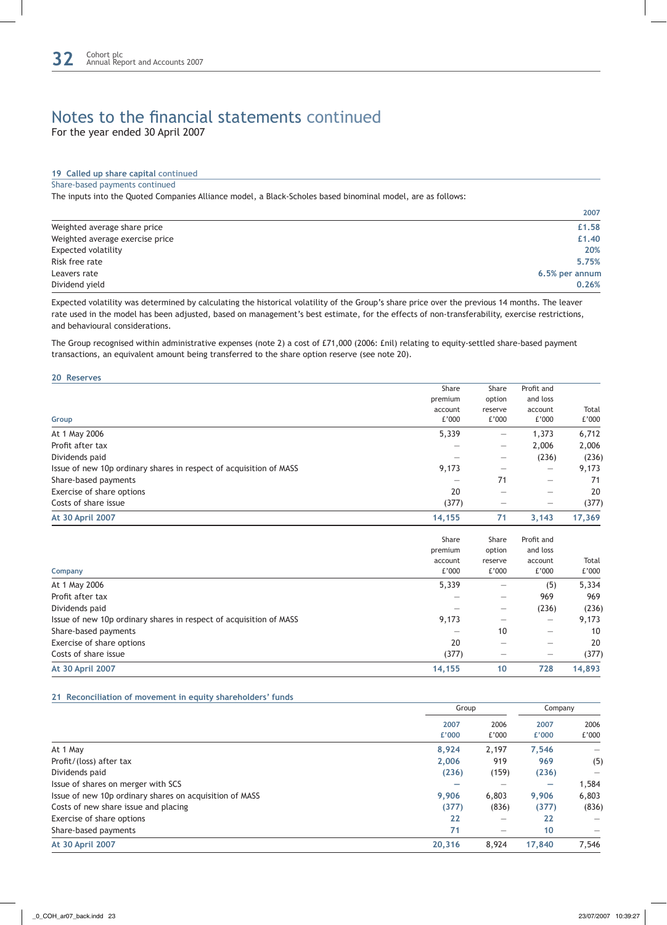## Notes to the financial statements continued

For the year ended 30 April 2007

### **19 Called up share capital continued**

### Share-based payments continued

The inputs into the Quoted Companies Alliance model, a Black-Scholes based binominal model, are as follows:

|                                 | 2007           |
|---------------------------------|----------------|
| Weighted average share price    | £1.58          |
| Weighted average exercise price | £1.40          |
| <b>Expected volatility</b>      | 20%            |
| Risk free rate                  | 5.75%          |
| Leavers rate                    | 6.5% per annum |
| Dividend vield                  | 0.26%          |

Expected volatility was determined by calculating the historical volatility of the Group's share price over the previous 14 months. The leaver rate used in the model has been adjusted, based on management's best estimate, for the effects of non-transferability, exercise restrictions, and behavioural considerations.

The Group recognised within administrative expenses (note 2) a cost of £71,000 (2006: £nil) relating to equity-settled share-based payment transactions, an equivalent amount being transferred to the share option reserve (see note 20).

### **20 Reserves**

|                                                                    | Share   | Share             | Profit and               |        |
|--------------------------------------------------------------------|---------|-------------------|--------------------------|--------|
|                                                                    | premium | option            | and loss                 |        |
|                                                                    | account | reserve           | account                  | Total  |
| Group                                                              | £'000   | £'000             | £'000                    | £'000  |
| At 1 May 2006                                                      | 5,339   | $\qquad \qquad -$ | 1,373                    | 6,712  |
| Profit after tax                                                   |         | -                 | 2,006                    | 2,006  |
| Dividends paid                                                     |         | -                 | (236)                    | (236)  |
| Issue of new 10p ordinary shares in respect of acquisition of MASS | 9,173   | -                 | -                        | 9,173  |
| Share-based payments                                               |         | 71                |                          | 71     |
| Exercise of share options                                          | 20      |                   |                          | 20     |
| Costs of share issue                                               | (377)   |                   | -                        | (377)  |
| At 30 April 2007                                                   | 14,155  | 71                | 3,143                    | 17,369 |
|                                                                    | Share   | Share             | Profit and               |        |
|                                                                    | premium | option            | and loss                 |        |
|                                                                    | account | reserve           | account                  | Total  |
| Company                                                            | £'000   | £'000             | £'000                    | £'000  |
| At 1 May 2006                                                      | 5,339   |                   | (5)                      | 5,334  |
| Profit after tax                                                   |         |                   | 969                      | 969    |
| Dividends paid                                                     |         | -                 | (236)                    | (236)  |
| Issue of new 10p ordinary shares in respect of acquisition of MASS | 9,173   |                   | —                        | 9,173  |
| Share-based payments                                               |         | 10                | $\overline{\phantom{0}}$ | 10     |
| Exercise of share options                                          | 20      |                   | -                        | 20     |
| Costs of share issue                                               | (377)   |                   |                          | (377)  |

### **21 Reconciliation of movement in equity shareholders' funds**

|                                                         | Group         |       | Company       |                 |
|---------------------------------------------------------|---------------|-------|---------------|-----------------|
|                                                         | 2007<br>£'000 | 2006  | 2007<br>£'000 | 2006<br>£'000   |
|                                                         |               | £'000 |               |                 |
| At 1 May                                                | 8,924         | 2,197 | 7,546         |                 |
| Profit/(loss) after tax                                 | 2,006         | 919   | 969           | (5)             |
| Dividends paid                                          | (236)         | (159) | (236)         |                 |
| Issue of shares on merger with SCS                      |               |       |               | 1,584           |
| Issue of new 10p ordinary shares on acquisition of MASS | 9,906         | 6,803 | 9.906         | 6,803           |
| Costs of new share issue and placing                    | (377)         | (836) | (377)         | (836)           |
| Exercise of share options                               | 22            | —     | 22            | $\qquad \qquad$ |
| Share-based payments                                    | 71            | —     | 10            |                 |
| <b>At 30 April 2007</b>                                 | 20,316        | 8.924 | 17,840        | 7,546           |

**At 30 April 2007 14,155 10 728 14,893**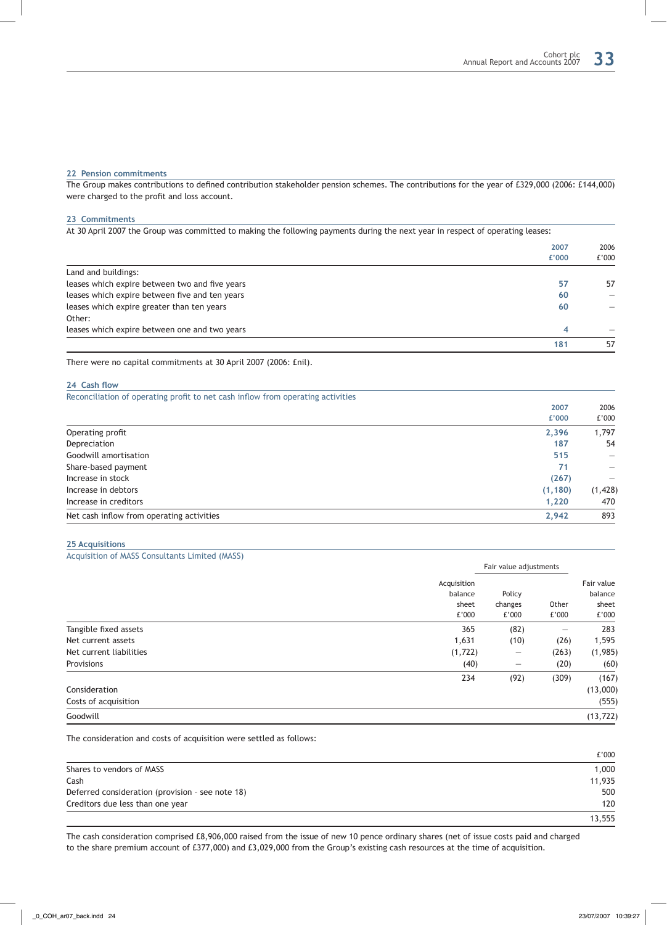### **22 Pension commitments**

The Group makes contributions to defined contribution stakeholder pension schemes. The contributions for the year of £329,000 (2006: £144,000) were charged to the profit and loss account.

### **23 Commitments**

At 30 April 2007 the Group was committed to making the following payments during the next year in respect of operating leases:

|                                                | 2007<br>£'000 | 2006<br>£'000 |
|------------------------------------------------|---------------|---------------|
| Land and buildings:                            |               |               |
| leases which expire between two and five years | 57            | 57            |
| leases which expire between five and ten years | 60            |               |
| leases which expire greater than ten years     | 60            |               |
| Other:                                         |               |               |
| leases which expire between one and two years  | 4             |               |
|                                                | 181           | 57            |

There were no capital commitments at 30 April 2007 (2006: £nil).

### **24 Cash flow**

Reconciliation of operating profit to net cash inflow from operating activities

|                                           | 2007     | 2006                     |
|-------------------------------------------|----------|--------------------------|
|                                           | £'000    | £'000                    |
| Operating profit                          | 2,396    | 1,797                    |
| Depreciation                              | 187      | 54                       |
| Goodwill amortisation                     | 515      | $\overline{\phantom{0}}$ |
| Share-based payment                       | 71       | $\qquad \qquad -$        |
| Increase in stock                         | (267)    | $\overline{\phantom{0}}$ |
| Increase in debtors                       | (1, 180) | (1, 428)                 |
| Increase in creditors                     | 1,220    | 470                      |
| Net cash inflow from operating activities | 2,942    | 893                      |

### **25 Acquisitions**

Acquisition of MASS Consultants Limited (MASS)

|                         | Acquisition | Fair value adjustments         |       |                                |
|-------------------------|-------------|--------------------------------|-------|--------------------------------|
|                         |             |                                | Other | Fair value<br>balance<br>sheet |
|                         | balance     | Policy                         |       |                                |
|                         | sheet       | changes                        |       |                                |
|                         | £'000       | £'000                          | £'000 | £'000                          |
| Tangible fixed assets   | 365         | (82)                           |       | 283                            |
| Net current assets      | 1,631       | (10)                           | (26)  | 1,595                          |
| Net current liabilities | (1, 722)    | $\qquad \qquad \longleftarrow$ | (263) | (1,985)                        |
| Provisions              | (40)        | $\overline{\phantom{0}}$       | (20)  | (60)                           |
|                         | 234         | (92)                           | (309) | (167)                          |
| Consideration           |             |                                |       | (13,000)                       |
| Costs of acquisition    |             |                                |       | (555)                          |
| Goodwill                |             |                                |       | (13, 722)                      |

The consideration and costs of acquisition were settled as follows:

|                                                  | £'000  |
|--------------------------------------------------|--------|
| Shares to vendors of MASS                        | 1,000  |
| Cash                                             | 11,935 |
| Deferred consideration (provision - see note 18) | 500    |
| Creditors due less than one year                 | 120    |
|                                                  | 13.555 |

The cash consideration comprised £8,906,000 raised from the issue of new 10 pence ordinary shares (net of issue costs paid and charged to the share premium account of £377,000) and £3,029,000 from the Group's existing cash resources at the time of acquisition.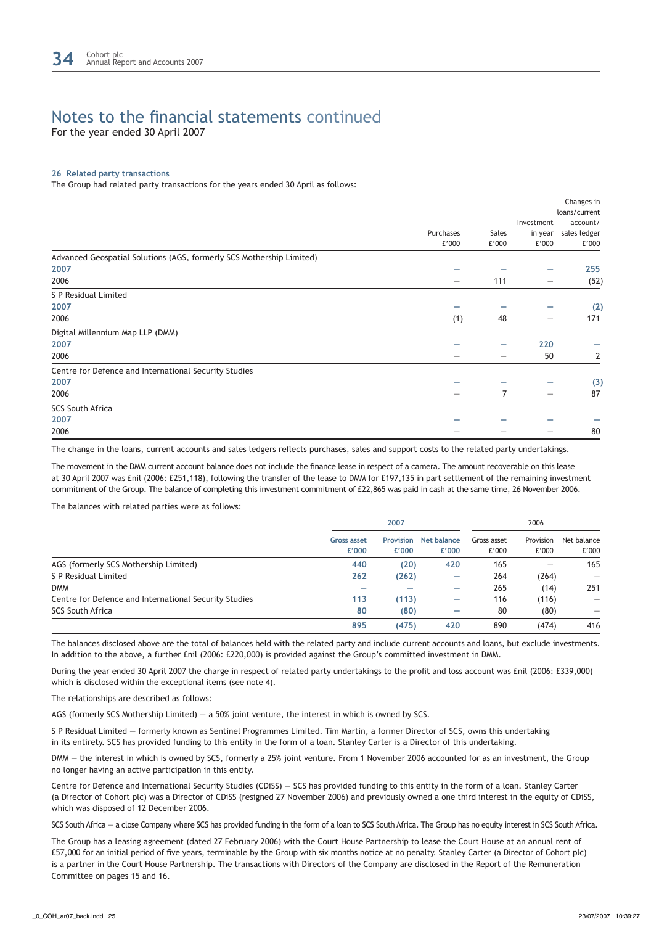## Notes to the financial statements continued

For the year ended 30 April 2007

### **26 Related party transactions**

The Group had related party transactions for the years ended 30 April as follows:

|                                                                      |           |       |            | Changes in<br>loans/current |
|----------------------------------------------------------------------|-----------|-------|------------|-----------------------------|
|                                                                      |           |       | Investment | account/                    |
|                                                                      | Purchases | Sales | in year    | sales ledger                |
|                                                                      | £'000     | £'000 | £'000      | £'000                       |
| Advanced Geospatial Solutions (AGS, formerly SCS Mothership Limited) |           |       |            |                             |
| 2007                                                                 |           |       |            | 255                         |
| 2006                                                                 |           | 111   |            | (52)                        |
| S P Residual Limited                                                 |           |       |            |                             |
| 2007                                                                 |           |       |            | (2)                         |
| 2006                                                                 | (1)       | 48    |            | 171                         |
| Digital Millennium Map LLP (DMM)                                     |           |       |            |                             |
| 2007                                                                 |           |       | 220        |                             |
| 2006                                                                 |           |       | 50         | 2                           |
| Centre for Defence and International Security Studies                |           |       |            |                             |
| 2007                                                                 |           |       |            | (3)                         |
| 2006                                                                 |           | 7     |            | 87                          |
| <b>SCS South Africa</b>                                              |           |       |            |                             |
| 2007                                                                 |           |       |            |                             |
| 2006                                                                 |           |       |            | 80                          |

The change in the loans, current accounts and sales ledgers reflects purchases, sales and support costs to the related party undertakings.

The movement in the DMM current account balance does not include the finance lease in respect of a camera. The amount recoverable on this lease at 30 April 2007 was £nil (2006: £251,118), following the transfer of the lease to DMM for £197,135 in part settlement of the remaining investment commitment of the Group. The balance of completing this investment commitment of £22,865 was paid in cash at the same time, 26 November 2006.

The balances with related parties were as follows:

|                                                       | 2007                        |                    |                      | 2006                 |                    |                      |
|-------------------------------------------------------|-----------------------------|--------------------|----------------------|----------------------|--------------------|----------------------|
|                                                       | <b>Gross asset</b><br>£'000 | Provision<br>£'000 | Net balance<br>£'000 | Gross asset<br>£'000 | Provision<br>£'000 | Net balance<br>£'000 |
|                                                       |                             |                    |                      |                      |                    |                      |
| AGS (formerly SCS Mothership Limited)                 | 440                         | (20)               | 420                  | 165                  |                    | 165                  |
| S P Residual Limited                                  | 262                         | (262)              |                      | 264                  | (264)              |                      |
| <b>DMM</b>                                            |                             |                    |                      | 265                  | (14)               | 251                  |
| Centre for Defence and International Security Studies | 113                         | (113)              |                      | 116                  | (116)              |                      |
| <b>SCS South Africa</b>                               | 80                          | (80)               |                      | 80                   | (80)               |                      |
|                                                       | 895                         | (475)              | 420                  | 890                  | (474)              | 416                  |

The balances disclosed above are the total of balances held with the related party and include current accounts and loans, but exclude investments. In addition to the above, a further £nil (2006: £220,000) is provided against the Group's committed investment in DMM.

During the year ended 30 April 2007 the charge in respect of related party undertakings to the profit and loss account was £nil (2006: £339,000) which is disclosed within the exceptional items (see note 4).

The relationships are described as follows:

AGS (formerly SCS Mothership Limited) — a 50% joint venture, the interest in which is owned by SCS.

S P Residual Limited — formerly known as Sentinel Programmes Limited. Tim Martin, a former Director of SCS, owns this undertaking in its entirety. SCS has provided funding to this entity in the form of a loan. Stanley Carter is a Director of this undertaking.

DMM — the interest in which is owned by SCS, formerly a 25% joint venture. From 1 November 2006 accounted for as an investment, the Group no longer having an active participation in this entity.

Centre for Defence and International Security Studies (CDiSS) — SCS has provided funding to this entity in the form of a loan. Stanley Carter (a Director of Cohort plc) was a Director of CDiSS (resigned 27 November 2006) and previously owned a one third interest in the equity of CDiSS, which was disposed of 12 December 2006.

SCS South Africa - a close Company where SCS has provided funding in the form of a loan to SCS South Africa. The Group has no equity interest in SCS South Africa.

The Group has a leasing agreement (dated 27 February 2006) with the Court House Partnership to lease the Court House at an annual rent of £57,000 for an initial period of five years, terminable by the Group with six months notice at no penalty. Stanley Carter (a Director of Cohort plc) is a partner in the Court House Partnership. The transactions with Directors of the Company are disclosed in the Report of the Remuneration Committee on pages 15 and 16.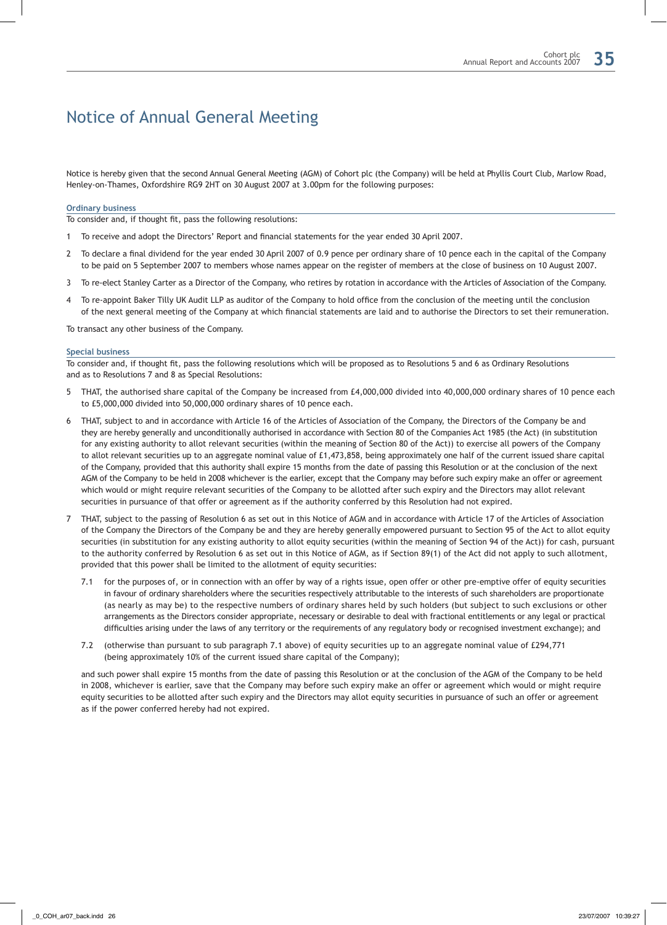## Notice of Annual General Meeting

Notice is hereby given that the second Annual General Meeting (AGM) of Cohort plc (the Company) will be held at Phyllis Court Club, Marlow Road, Henley-on-Thames, Oxfordshire RG9 2HT on 30 August 2007 at 3.00pm for the following purposes:

### **Ordinary business**

To consider and, if thought fit, pass the following resolutions:

- 1 To receive and adopt the Directors' Report and financial statements for the year ended 30 April 2007.
- 2 To declare a final dividend for the year ended 30 April 2007 of 0.9 pence per ordinary share of 10 pence each in the capital of the Company to be paid on 5 September 2007 to members whose names appear on the register of members at the close of business on 10 August 2007.
- 3 To re-elect Stanley Carter as a Director of the Company, who retires by rotation in accordance with the Articles of Association of the Company.
- 4 To re-appoint Baker Tilly UK Audit LLP as auditor of the Company to hold office from the conclusion of the meeting until the conclusion of the next general meeting of the Company at which financial statements are laid and to authorise the Directors to set their remuneration.

To transact any other business of the Company.

### **Special business**

To consider and, if thought fit, pass the following resolutions which will be proposed as to Resolutions 5 and 6 as Ordinary Resolutions and as to Resolutions 7 and 8 as Special Resolutions:

- 5 THAT, the authorised share capital of the Company be increased from £4,000,000 divided into 40,000,000 ordinary shares of 10 pence each to £5,000,000 divided into 50,000,000 ordinary shares of 10 pence each.
- 6 THAT, subject to and in accordance with Article 16 of the Articles of Association of the Company, the Directors of the Company be and they are hereby generally and unconditionally authorised in accordance with Section 80 of the Companies Act 1985 (the Act) (in substitution for any existing authority to allot relevant securities (within the meaning of Section 80 of the Act)) to exercise all powers of the Company to allot relevant securities up to an aggregate nominal value of £1,473,858, being approximately one half of the current issued share capital of the Company, provided that this authority shall expire 15 months from the date of passing this Resolution or at the conclusion of the next AGM of the Company to be held in 2008 whichever is the earlier, except that the Company may before such expiry make an offer or agreement which would or might require relevant securities of the Company to be allotted after such expiry and the Directors may allot relevant securities in pursuance of that offer or agreement as if the authority conferred by this Resolution had not expired.
- 7 THAT, subject to the passing of Resolution 6 as set out in this Notice of AGM and in accordance with Article 17 of the Articles of Association of the Company the Directors of the Company be and they are hereby generally empowered pursuant to Section 95 of the Act to allot equity securities (in substitution for any existing authority to allot equity securities (within the meaning of Section 94 of the Act)) for cash, pursuant to the authority conferred by Resolution 6 as set out in this Notice of AGM, as if Section 89(1) of the Act did not apply to such allotment, provided that this power shall be limited to the allotment of equity securities:
	- 7.1 for the purposes of, or in connection with an offer by way of a rights issue, open offer or other pre-emptive offer of equity securities in favour of ordinary shareholders where the securities respectively attributable to the interests of such shareholders are proportionate (as nearly as may be) to the respective numbers of ordinary shares held by such holders (but subject to such exclusions or other arrangements as the Directors consider appropriate, necessary or desirable to deal with fractional entitlements or any legal or practical difficulties arising under the laws of any territory or the requirements of any regulatory body or recognised investment exchange); and
	- 7.2 (otherwise than pursuant to sub paragraph 7.1 above) of equity securities up to an aggregate nominal value of £294,771 (being approximately 10% of the current issued share capital of the Company);

 and such power shall expire 15 months from the date of passing this Resolution or at the conclusion of the AGM of the Company to be held in 2008, whichever is earlier, save that the Company may before such expiry make an offer or agreement which would or might require equity securities to be allotted after such expiry and the Directors may allot equity securities in pursuance of such an offer or agreement as if the power conferred hereby had not expired.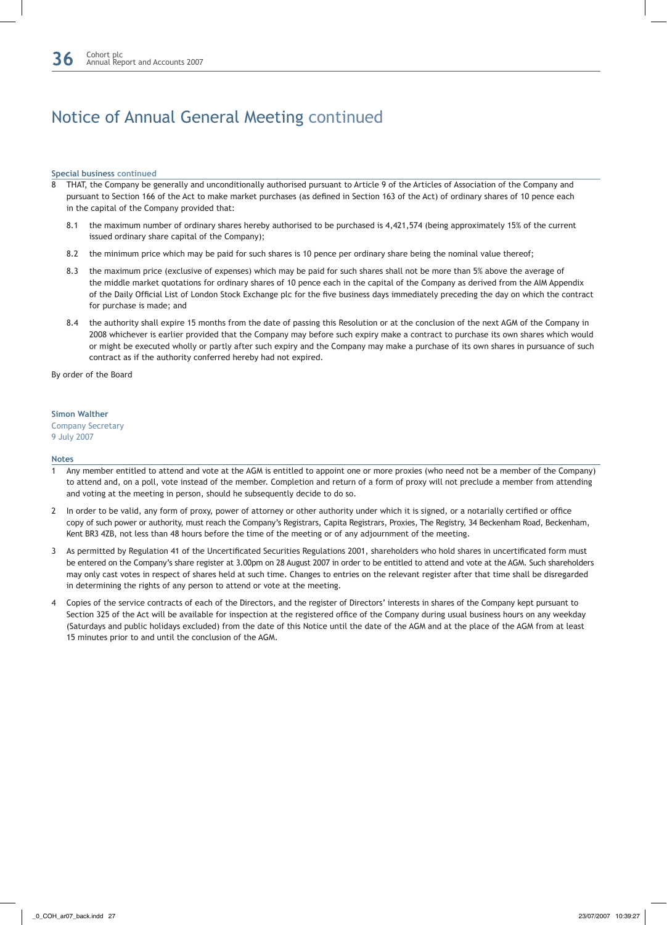## Notice of Annual General Meeting continued

### **Special business continued**

- 8 THAT, the Company be generally and unconditionally authorised pursuant to Article 9 of the Articles of Association of the Company and pursuant to Section 166 of the Act to make market purchases (as defined in Section 163 of the Act) of ordinary shares of 10 pence each in the capital of the Company provided that:
	- 8.1 the maximum number of ordinary shares hereby authorised to be purchased is 4,421,574 (being approximately 15% of the current issued ordinary share capital of the Company);
	- 8.2 the minimum price which may be paid for such shares is 10 pence per ordinary share being the nominal value thereof;
	- 8.3 the maximum price (exclusive of expenses) which may be paid for such shares shall not be more than 5% above the average of the middle market quotations for ordinary shares of 10 pence each in the capital of the Company as derived from the AIM Appendix of the Daily Official List of London Stock Exchange plc for the five business days immediately preceding the day on which the contract for purchase is made; and
	- 8.4 the authority shall expire 15 months from the date of passing this Resolution or at the conclusion of the next AGM of the Company in 2008 whichever is earlier provided that the Company may before such expiry make a contract to purchase its own shares which would or might be executed wholly or partly after such expiry and the Company may make a purchase of its own shares in pursuance of such contract as if the authority conferred hereby had not expired.

By order of the Board

### **Simon Walther**

Company Secretary 9 July 2007

### **Notes**

- 1 Any member entitled to attend and vote at the AGM is entitled to appoint one or more proxies (who need not be a member of the Company) to attend and, on a poll, vote instead of the member. Completion and return of a form of proxy will not preclude a member from attending and voting at the meeting in person, should he subsequently decide to do so.
- 2 In order to be valid, any form of proxy, power of attorney or other authority under which it is signed, or a notarially certified or office copy of such power or authority, must reach the Company's Registrars, Capita Registrars, Proxies, The Registry, 34 Beckenham Road, Beckenham, Kent BR3 4ZB, not less than 48 hours before the time of the meeting or of any adjournment of the meeting.
- 3 As permitted by Regulation 41 of the Uncertificated Securities Regulations 2001, shareholders who hold shares in uncertificated form must be entered on the Company's share register at 3.00pm on 28 August 2007 in order to be entitled to attend and vote at the AGM. Such shareholders may only cast votes in respect of shares held at such time. Changes to entries on the relevant register after that time shall be disregarded in determining the rights of any person to attend or vote at the meeting.
- 4 Copies of the service contracts of each of the Directors, and the register of Directors' interests in shares of the Company kept pursuant to Section 325 of the Act will be available for inspection at the registered office of the Company during usual business hours on any weekday (Saturdays and public holidays excluded) from the date of this Notice until the date of the AGM and at the place of the AGM from at least 15 minutes prior to and until the conclusion of the AGM.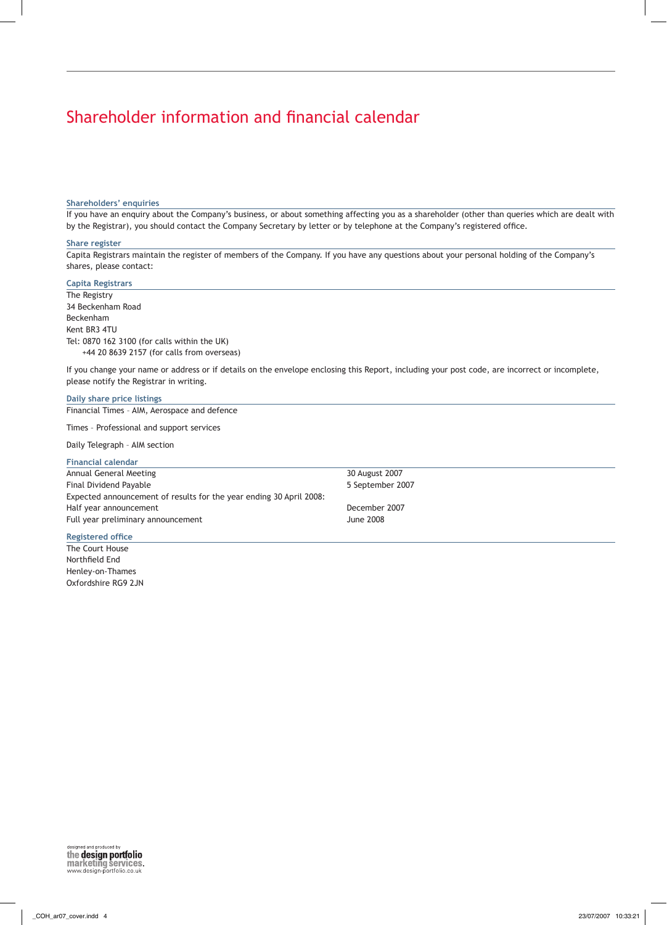## Shareholder information and financial calendar

### **Shareholders' enquiries**

If you have an enquiry about the Company's business, or about something affecting you as a shareholder (other than queries which are dealt with by the Registrar), you should contact the Company Secretary by letter or by telephone at the Company's registered office.

### **Share register**

Capita Registrars maintain the register of members of the Company. If you have any questions about your personal holding of the Company's shares, please contact:

### **Capita Registrars**

The Registry 34 Beckenham Road Beckenham Kent BR3 4TU Tel: 0870 162 3100 (for calls within the UK) +44 20 8639 2157 (for calls from overseas)

If you change your name or address or if details on the envelope enclosing this Report, including your post code, are incorrect or incomplete, please notify the Registrar in writing.

### **Daily share price listings** Financial Times – AIM, Aerospace and defence

Times – Professional and support services

Daily Telegraph – AIM section

### **Financial calendar**

Annual General Meeting 30 August 2007 Final Dividend Payable **5** September 2007 Expected announcement of results for the year ending 30 April 2008: Half year announcement and a state of the December 2007 Full year preliminary announcement and a state of the Sun Sune 2008

### **Registered office**

The Court House Northfield End Henley-on-Thames Oxfordshire RG9 2JN